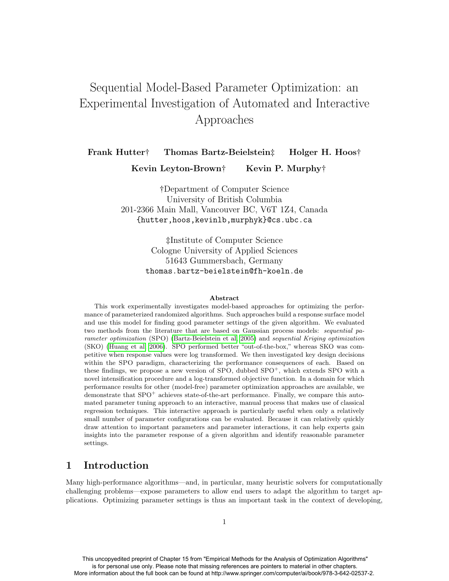# Sequential Model-Based Parameter Optimization: an Experimental Investigation of Automated and Interactive Approaches

## Frank Hutter† Thomas Bartz-Beielstein‡ Holger H. Hoos†

Kevin Leyton-Brown† Kevin P. Murphy†

†Department of Computer Science University of British Columbia 201-2366 Main Mall, Vancouver BC, V6T 1Z4, Canada {hutter,hoos,kevinlb,murphyk}@cs.ubc.ca

> ‡Institute of Computer Science Cologne University of Applied Sciences 51643 Gummersbach, Germany thomas.bartz-beielstein@fh-koeln.de

#### Abstract

This work experimentally investigates model-based approaches for optimizing the performance of parameterized randomized algorithms. Such approaches build a response surface model and use this model for finding good parameter settings of the given algorithm. We evaluated two methods from the literature that are based on Gaussian process models: sequential parameter optimization (SPO) [\(Bartz-Beielstein et al, 2005\)](#page-41-0) and sequential Kriging optimization (SKO) [\(Huang et al, 2006\)](#page-42-0). SPO performed better "out-of-the-box," whereas SKO was competitive when response values were log transformed. We then investigated key design decisions within the SPO paradigm, characterizing the performance consequences of each. Based on these findings, we propose a new version of SPO, dubbed  $SPO^+$ , which extends SPO with a novel intensification procedure and a log-transformed objective function. In a domain for which performance results for other (model-free) parameter optimization approaches are available, we demonstrate that SPO<sup>+</sup> achieves state-of-the-art performance. Finally, we compare this automated parameter tuning approach to an interactive, manual process that makes use of classical regression techniques. This interactive approach is particularly useful when only a relatively small number of parameter configurations can be evaluated. Because it can relatively quickly draw attention to important parameters and parameter interactions, it can help experts gain insights into the parameter response of a given algorithm and identify reasonable parameter settings.

## <span id="page-0-0"></span>1 Introduction

Many high-performance algorithms—and, in particular, many heuristic solvers for computationally challenging problems—expose parameters to allow end users to adapt the algorithm to target applications. Optimizing parameter settings is thus an important task in the context of developing,

This uncopyedited preprint of Chapter 15 from "Empirical Methods for the Analysis of Optimization Algorithms" is for personal use only. Please note that missing references are pointers to material in other chapters. More information about the full book can be found at http://www.springer.com/computer/ai/book/978-3-642-02537-2.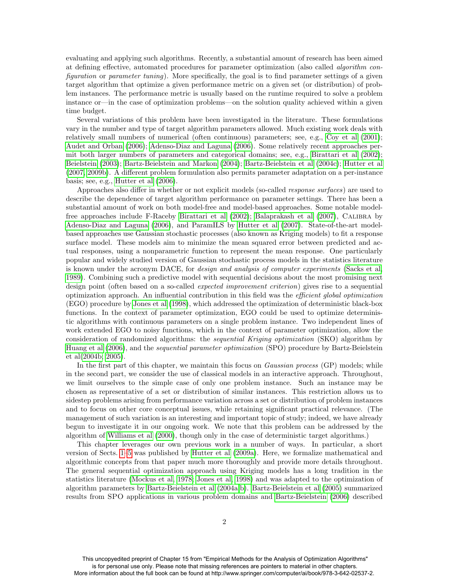evaluating and applying such algorithms. Recently, a substantial amount of research has been aimed at defining effective, automated procedures for parameter optimization (also called algorithm configuration or parameter tuning). More specifically, the goal is to find parameter settings of a given target algorithm that optimize a given performance metric on a given set (or distribution) of problem instances. The performance metric is usually based on the runtime required to solve a problem instance or—in the case of optimization problems—on the solution quality achieved within a given time budget.

Several variations of this problem have been investigated in the literature. These formulations vary in the number and type of target algorithm parameters allowed. Much existing work deals with relatively small numbers of numerical (often continuous) parameters; see, e.g., [Coy et al](#page-41-1) [\(2001\)](#page-41-1); [Audet and Orban](#page-40-0) [\(2006\)](#page-40-0); [Adenso-Diaz and Laguna](#page-40-1) [\(2006\)](#page-40-1). Some relatively recent approaches permit both larger numbers of parameters and categorical domains; see, e.g., [Birattari et al](#page-41-2) [\(2002\)](#page-41-2); [Beielstein](#page-41-3) [\(2003\)](#page-41-3); [Bartz-Beielstein and Markon](#page-40-2) [\(2004\)](#page-40-2); [Bartz-Beielstein et al](#page-41-4) [\(2004c\)](#page-41-4); [Hutter et al](#page-42-1) [\(2007,](#page-42-1) [2009b\)](#page-42-2). A different problem formulation also permits parameter adaptation on a per-instance basis; see, e.g., [Hutter et al](#page-42-3) [\(2006\)](#page-42-3).

Approaches also differ in whether or not explicit models (so-called response surfaces) are used to describe the dependence of target algorithm performance on parameter settings. There has been a substantial amount of work on both model-free and model-based approaches. Some notable modelfree approaches include F-Raceby [Birattari et al](#page-41-2) [\(2002\)](#page-41-2); [Balaprakash et al](#page-40-3) [\(2007\)](#page-40-3), Calibra by [Adenso-Diaz and Laguna](#page-40-1) [\(2006\)](#page-40-1), and ParamILS by [Hutter et al](#page-42-1) [\(2007\)](#page-42-1). State-of-the-art modelbased approaches use Gaussian stochastic processes (also known as Kriging models) to fit a response surface model. These models aim to minimize the mean squared error between predicted and actual responses, using a nonparametric function to represent the mean response. One particularly popular and widely studied version of Gaussian stochastic process models in the statistics literature is known under the acronym DACE, for *design and analysis of computer experiments* [\(Sacks et al,](#page-43-0) [1989\)](#page-43-0). Combining such a predictive model with sequential decisions about the most promising next design point (often based on a so-called *expected improvement criterion*) gives rise to a sequential optimization approach. An influential contribution in this field was the efficient global optimization (EGO) procedure by [Jones et al](#page-42-4) [\(1998\)](#page-42-4), which addressed the optimization of deterministic black-box functions. In the context of parameter optimization, EGO could be used to optimize deterministic algorithms with continuous parameters on a single problem instance. Two independent lines of work extended EGO to noisy functions, which in the context of parameter optimization, allow the consideration of randomized algorithms: the sequential Kriging optimization (SKO) algorithm by [Huang et al](#page-42-0) [\(2006\)](#page-42-0), and the *sequential parameter optimization* (SPO) procedure by Bartz-Beielstein et al[\(2004b;](#page-41-5) [2005\)](#page-41-0).

In the first part of this chapter, we maintain this focus on *Gaussian process* (GP) models; while in the second part, we consider the use of classical models in an interactive approach. Throughout, we limit ourselves to the simple case of only one problem instance. Such an instance may be chosen as representative of a set or distribution of similar instances. This restriction allows us to sidestep problems arising from performance variation across a set or distribution of problem instances and to focus on other core conceptual issues, while retaining significant practical relevance. (The management of such variation is an interesting and important topic of study; indeed, we have already begun to investigate it in our ongoing work. We note that this problem can be addressed by the algorithm of [Williams et al](#page-43-1) [\(2000\)](#page-43-1), though only in the case of deterministic target algorithms.)

This chapter leverages our own previous work in a number of ways. In particular, a short version of Sects. [1](#page-0-0)[–5](#page-16-0) was published by [Hutter et al](#page-42-5) [\(2009a\)](#page-42-5). Here, we formalize mathematical and algorithmic concepts from that paper much more thoroughly and provide more details throughout. The general sequential optimization approach using Kriging models has a long tradition in the statistics literature [\(Mockus et al, 1978;](#page-42-6) [Jones et al, 1998\)](#page-42-4) and was adapted to the optimization of algorithm parameters by [Bartz-Beielstein et al](#page-40-4) [\(2004a,](#page-40-4)[b\)](#page-41-5). [Bartz-Beielstein et al](#page-41-0) [\(2005\)](#page-41-0) summarized results from SPO applications in various problem domains and [Bartz-Beielstein](#page-40-5) [\(2006\)](#page-40-5) described

This uncopyedited preprint of Chapter 15 from "Empirical Methods for the Analysis of Optimization Algorithms" is for personal use only. Please note that missing references are pointers to material in other chapters. More information about the full book can be found at http://www.springer.com/computer/ai/book/978-3-642-02537-2.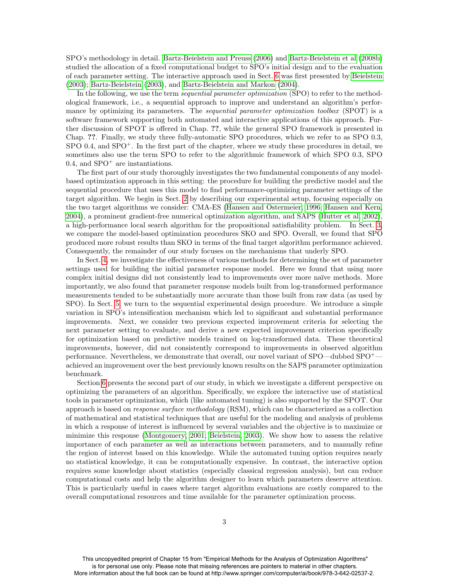SPO's methodology in detail. [Bartz-Beielstein and Preuss](#page-40-6) [\(2006\)](#page-40-6) and [Bartz-Beielstein et al](#page-41-6) [\(2008b\)](#page-41-6) studied the allocation of a fixed computational budget to SPO's initial design and to the evaluation of each parameter setting. The interactive approach used in Sect. [6](#page-27-0) was first presented by [Beielstein](#page-41-3) [\(2003\)](#page-41-3); [Bartz-Beielstein](#page-40-7) [\(2003\)](#page-40-7), and [Bartz-Beielstein and Markon](#page-40-2) [\(2004\)](#page-40-2).

In the following, we use the term *sequential parameter optimization* (SPO) to refer to the methodological framework, i.e., a sequential approach to improve and understand an algorithm's performance by optimizing its parameters. The *sequential parameter optimization toolbox* (SPOT) is a software framework supporting both automated and interactive applications of this approach. Further discussion of SPOT is offered in Chap. ??, while the general SPO framework is presented in Chap. ??. Finally, we study three fully-automatic SPO procedures, which we refer to as SPO 0.3,  $SPO~0.4$ , and  $SPO<sup>+</sup>$ . In the first part of the chapter, where we study these procedures in detail, we sometimes also use the term SPO to refer to the algorithmic framework of which SPO 0.3, SPO 0.4, and  $SPO<sup>+</sup>$  are instantiations.

The first part of our study thoroughly investigates the two fundamental components of any modelbased optimization approach in this setting: the procedure for building the predictive model and the sequential procedure that uses this model to find performance-optimizing parameter settings of the target algorithm. We begin in Sect. [2](#page-3-0) by describing our experimental setup, focusing especially on the two target algorithms we consider: CMA-ES [\(Hansen and Ostermeier, 1996;](#page-42-7) [Hansen and Kern,](#page-41-7) [2004\)](#page-41-7), a prominent gradient-free numerical optimization algorithm, and SAPS [\(Hutter et al, 2002\)](#page-42-8), a high-performance local search algorithm for the propositional satisfiability problem. In Sect. [3,](#page-4-0) we compare the model-based optimization procedures SKO and SPO. Overall, we found that SPO produced more robust results than SKO in terms of the final target algorithm performance achieved. Consequently, the remainder of our study focuses on the mechanisms that underly SPO.

In Sect. [4,](#page-14-0) we investigate the effectiveness of various methods for determining the set of parameter settings used for building the initial parameter response model. Here we found that using more complex initial designs did not consistently lead to improvements over more naïve methods. More importantly, we also found that parameter response models built from log-transformed performance measurements tended to be substantially more accurate than those built from raw data (as used by SPO). In Sect. [5,](#page-16-0) we turn to the sequential experimental design procedure. We introduce a simple variation in SPO's intensification mechanism which led to significant and substantial performance improvements. Next, we consider two previous expected improvement criteria for selecting the next parameter setting to evaluate, and derive a new expected improvement criterion specifically for optimization based on predictive models trained on log-transformed data. These theoretical improvements, however, did not consistently correspond to improvements in observed algorithm performance. Nevertheless, we demonstrate that overall, our novel variant of SPO—dubbed SPO+ achieved an improvement over the best previously known results on the SAPS parameter optimization benchmark.

Section [6](#page-27-0) presents the second part of our study, in which we investigate a different perspective on optimizing the parameters of an algorithm. Specifically, we explore the interactive use of statistical tools in parameter optimization, which (like automated tuning) is also supported by the SPOT. Our approach is based on *response surface methodology* (RSM), which can be characterized as a collection of mathematical and statistical techniques that are useful for the modeling and analysis of problems in which a response of interest is influenced by several variables and the objective is to maximize or minimize this response [\(Montgomery, 2001;](#page-42-9) [Beielstein, 2003\)](#page-41-3). We show how to assess the relative importance of each parameter as well as interactions between parameters, and to manually refine the region of interest based on this knowledge. While the automated tuning option requires nearly no statistical knowledge, it can be computationally expensive. In contrast, the interactive option requires some knowledge about statistics (especially classical regression analysis), but can reduce computational costs and help the algorithm designer to learn which parameters deserve attention. This is particularly useful in cases where target algorithm evaluations are costly compared to the overall computational resources and time available for the parameter optimization process.

This uncopyedited preprint of Chapter 15 from "Empirical Methods for the Analysis of Optimization Algorithms" is for personal use only. Please note that missing references are pointers to material in other chapters. More information about the full book can be found at http://www.springer.com/computer/ai/book/978-3-642-02537-2.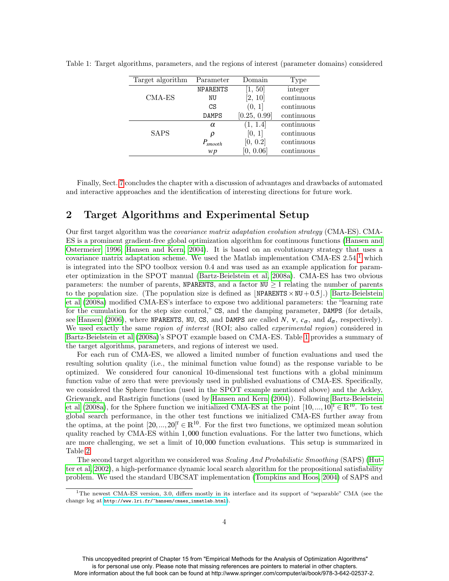| Target algorithm | Parameter       | Domain       | Type       |
|------------------|-----------------|--------------|------------|
|                  | <b>NPARENTS</b> | [1, 50]      | integer    |
| CMA-ES           | NU              | [2, 10]      | continuous |
|                  | CS              | (0, 1]       | continuous |
|                  | <b>DAMPS</b>    | [0.25, 0.99] | continuous |
|                  | $\alpha$        | (1, 1.4]     | continuous |
| <b>SAPS</b>      | ρ               | [0, 1]       | continuous |
|                  | $P_{smooth}$    | [0, 0.2]     | continuous |
|                  | wp              | [0, 0.06]    | continuous |

<span id="page-3-2"></span>Table 1: Target algorithms, parameters, and the regions of interest (parameter domains) considered

Finally, Sect. [7](#page-39-0) concludes the chapter with a discussion of advantages and drawbacks of automated and interactive approaches and the identification of interesting directions for future work.

## <span id="page-3-0"></span>2 Target Algorithms and Experimental Setup

Our first target algorithm was the covariance matrix adaptation evolution strategy (CMA-ES). CMA-ES is a prominent gradient-free global optimization algorithm for continuous functions [\(Hansen and](#page-42-7) [Ostermeier, 1996;](#page-42-7) [Hansen and Kern, 2004\)](#page-41-7). It is based on an evolutionary strategy that uses a covariance matrix adaptation scheme. We used the Matlab implementation CMA-ES  $2.54$ ,<sup>[1](#page-3-1)</sup> which is integrated into the SPO toolbox version 0.4 and was used as an example application for parameter optimization in the SPOT manual [\(Bartz-Beielstein et al, 2008a\)](#page-41-8). CMA-ES has two obvious parameters: the number of parents, NPARENTS, and a factor  $NU \ge 1$  relating the number of parents to the population size. (The population size is defined as  $NPARENTS \times NU + 0.5$ ). [Bartz-Beielstein](#page-41-8) [et al](#page-41-8) [\(2008a\)](#page-41-8) modified CMA-ES's interface to expose two additional parameters: the "learning rate for the cumulation for the step size control," CS, and the damping parameter, DAMPS (for details, see [Hansen](#page-41-9) [\(2006\)](#page-41-9), where NPARENTS, NU, CS, and DAMPS are called *N*,  $v$ ,  $c_{\sigma}$ , and  $d_{\sigma}$ , respectively). We used exactly the same region of interest (ROI; also called *experimental region*) considered in [Bartz-Beielstein et al](#page-41-8) [\(2008a\)](#page-41-8)'s SPOT example based on CMA-ES. Table [1](#page-3-2) provides a summary of the target algorithms, parameters, and regions of interest we used.

For each run of CMA-ES, we allowed a limited number of function evaluations and used the resulting solution quality (i.e., the minimal function value found) as the response variable to be optimized. We considered four canonical 10-dimensional test functions with a global minimum function value of zero that were previously used in published evaluations of CMA-ES. Specifically, we considered the Sphere function (used in the SPOT example mentioned above) and the Ackley, Griewangk, and Rastrigin functions (used by [Hansen and Kern](#page-41-7) [\(2004\)](#page-41-7)). Following [Bartz-Beielstein](#page-41-8) [et al](#page-41-8) [\(2008a\)](#page-41-8), for the Sphere function we initialized CMA-ES at the point  $[10, ..., 10]^T \in \mathbb{R}^{10}$ . To test global search performance, in the other test functions we initialized CMA-ES further away from the optima, at the point  $[20, ..., 20]^T \in \mathbb{R}^{10}$ . For the first two functions, we optimized mean solution quality reached by CMA-ES within 1,000 function evaluations. For the latter two functions, which are more challenging, we set a limit of 10,000 function evaluations. This setup is summarized in Table [2.](#page-4-1)

The second target algorithm we considered was *Scaling And Probabilistic Smoothing* (SAPS) [\(Hut](#page-42-8)[ter et al, 2002\)](#page-42-8), a high-performance dynamic local search algorithm for the propositional satisfiability problem. We used the standard UBCSAT implementation [\(Tompkins and Hoos, 2004\)](#page-43-2) of SAPS and

<span id="page-3-1"></span><sup>&</sup>lt;sup>1</sup>The newest CMA-ES version, 3.0, differs mostly in its interface and its support of "separable" CMA (see the change log at [http://www.lri.fr/~hansen/cmaes\\_inmatlab.html](http://www.lri.fr/~hansen/cmaes_inmatlab.html)).

This uncopyedited preprint of Chapter 15 from "Empirical Methods for the Analysis of Optimization Algorithms" is for personal use only. Please note that missing references are pointers to material in other chapters. More information about the full book can be found at http://www.springer.com/computer/ai/book/978-3-642-02537-2.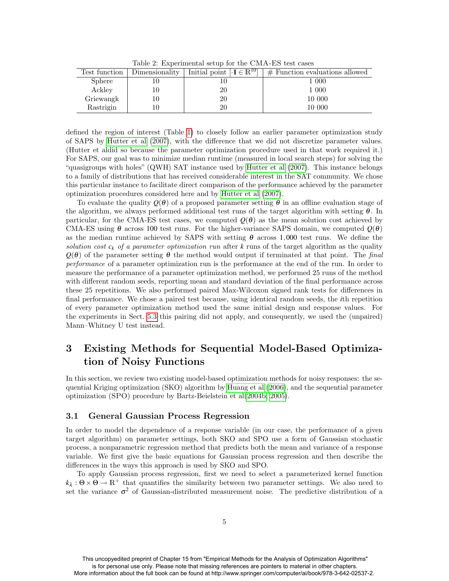| Test function | Dimensionality | Initial point $[ \cdot \mathbf{1} \in \mathbb{R}^{10} ]$ | $#$ Function evaluations allowed |
|---------------|----------------|----------------------------------------------------------|----------------------------------|
| <b>Sphere</b> |                |                                                          | 1 000                            |
| Ackley        |                | 20                                                       | 1 000                            |
| Griewangk     |                | 20                                                       | 10 000                           |
| Rastrigin     |                |                                                          | $10\ 000$                        |

<span id="page-4-1"></span>Table 2: Experimental setup for the CMA-ES test cases

defined the region of interest (Table [1\)](#page-3-2) to closely follow an earlier parameter optimization study of SAPS by [Hutter et al](#page-42-1) [\(2007\)](#page-42-1), with the difference that we did not discretize parameter values. (Hutter et aldid so because the parameter optimization procedure used in that work required it.) For SAPS, our goal was to minimize median runtime (measured in local search steps) for solving the "quasigroups with holes" (QWH) SAT instance used by [Hutter et al](#page-42-1) [\(2007\)](#page-42-1). This instance belongs to a family of distributions that has received considerable interest in the SAT community. We chose this particular instance to facilitate direct comparison of the performance achieved by the parameter optimization procedures considered here and by [Hutter et al](#page-42-1) [\(2007\)](#page-42-1).

To evaluate the quality  $Q(\theta)$  of a proposed parameter setting  $\theta$  in an offline evaluation stage of the algorithm, we always performed additional test runs of the target algorithm with setting  $\theta$ . In particular, for the CMA-ES test cases, we computed  $Q(\theta)$  as the mean solution cost achieved by CMA-ES using  $\theta$  across 100 test runs. For the higher-variance SAPS domain, we computed  $Q(\theta)$ as the median runtime achieved by SAPS with setting  $\theta$  across 1,000 test runs. We define the solution cost  $c_k$  of a parameter optimization run after  $k$  runs of the target algorithm as the quality  $Q(\theta)$  of the parameter setting  $\theta$  the method would output if terminated at that point. The final performance of a parameter optimization run is the performance at the end of the run. In order to measure the performance of a parameter optimization method, we performed 25 runs of the method with different random seeds, reporting mean and standard deviation of the final performance across these 25 repetitions. We also performed paired Max-Wilcoxon signed rank tests for differences in final performance. We chose a paired test because, using identical random seeds, the *i*th repetition of every parameter optimization method used the same initial design and response values. For the experiments in Sect. [5.3](#page-25-0) this pairing did not apply, and consequently, we used the (unpaired) Mann–Whitney U test instead.

## <span id="page-4-0"></span>3 Existing Methods for Sequential Model-Based Optimization of Noisy Functions

In this section, we review two existing model-based optimization methods for noisy responses: the sequential Kriging optimization (SKO) algorithm by [Huang et al](#page-42-0) [\(2006\)](#page-42-0), and the sequential parameter optimization (SPO) procedure by Bartz-Beielstein et al[\(2004b;](#page-41-5) [2005\)](#page-41-0).

## 3.1 General Gaussian Process Regression

In order to model the dependence of a response variable (in our case, the performance of a given target algorithm) on parameter settings, both SKO and SPO use a form of Gaussian stochastic process, a nonparametric regression method that predicts both the mean and variance of a response variable. We first give the basic equations for Gaussian process regression and then describe the differences in the ways this approach is used by SKO and SPO.

To apply Gaussian process regression, first we need to select a parameterized kernel function  $k_{\lambda}$ :  $\Theta \times \Theta \to \mathbb{R}^+$  that quantifies the similarity between two parameter settings. We also need to set the variance  $\sigma^2$  of Gaussian-distributed measurement noise. The predictive distribution of a

This uncopyedited preprint of Chapter 15 from "Empirical Methods for the Analysis of Optimization Algorithms" is for personal use only. Please note that missing references are pointers to material in other chapters. More information about the full book can be found at http://www.springer.com/computer/ai/book/978-3-642-02537-2.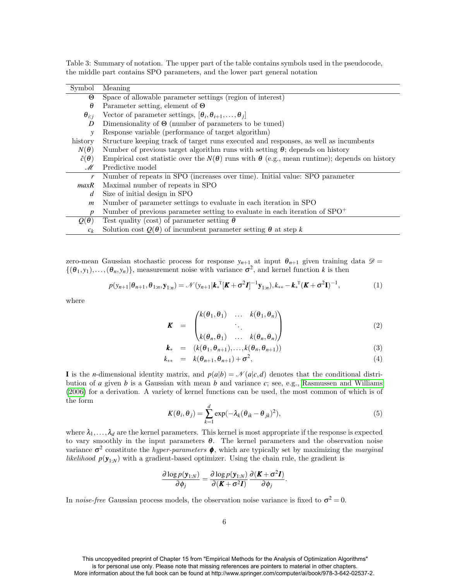| Symbol            | Meaning                                                                                                   |
|-------------------|-----------------------------------------------------------------------------------------------------------|
| Θ                 | Space of allowable parameter settings (region of interest)                                                |
| θ                 | Parameter setting, element of $\Theta$                                                                    |
| $\theta_{i:j}$    | Vector of parameter settings, $[\theta_i, \theta_{i+1}, \ldots, \theta_i]$                                |
| D                 | Dimensionality of $\Theta$ (number of parameters to be tuned)                                             |
| $\mathcal{V}$     | Response variable (performance of target algorithm)                                                       |
| history           | Structure keeping track of target runs executed and responses, as well as incumbents                      |
| $N(\theta)$       | Number of previous target algorithm runs with setting $\theta$ ; depends on history                       |
| $\hat{c}(\theta)$ | Empirical cost statistic over the $N(\theta)$ runs with $\theta$ (e.g., mean runtime); depends on history |
| M                 | Predictive model                                                                                          |
| r                 | Number of repeats in SPO (increases over time). Initial value: SPO parameter                              |
| maxR              | Maximal number of repeats in SPO                                                                          |
| d                 | Size of initial design in SPO                                                                             |
| $\boldsymbol{m}$  | Number of parameter settings to evaluate in each iteration in SPO                                         |
| p                 | Number of previous parameter setting to evaluate in each iteration of $SPO+$                              |
| $Q(\theta)$       | Test quality (cost) of parameter setting $\theta$                                                         |
| $c_k$             | Solution cost $Q(\theta)$ of incumbent parameter setting $\theta$ at step k                               |

<span id="page-5-0"></span>Table 3: Summary of notation. The upper part of the table contains symbols used in the pseudocode, the middle part contains SPO parameters, and the lower part general notation

zero-mean Gaussian stochastic process for response  $y_{n+1}$  at input  $\theta_{n+1}$  given training data  $\mathscr{D}$  =  $\{(\theta_1, y_1), \ldots, (\theta_n, y_n)\}\$ , measurement noise with variance  $\sigma^2$ , and kernel function *k* is then

$$
p(y_{n+1}|\theta_{n+1}, \theta_{1:n}, \mathbf{y}_{1:n}) = \mathcal{N}(y_{n+1}|\mathbf{k}_*^{\mathrm{T}}[\mathbf{K} + \sigma^2 \mathbf{I}]^{-1} \mathbf{y}_{1:n}), k_{**} - \mathbf{k}_*^{\mathrm{T}}(\mathbf{K} + \sigma^2 \mathbf{I})^{-1},
$$
\n(1)

where

$$
\boldsymbol{K} = \begin{pmatrix} k(\boldsymbol{\theta}_1, \boldsymbol{\theta}_1) & \dots & k(\boldsymbol{\theta}_1, \boldsymbol{\theta}_n) \\ \vdots & \vdots & \vdots \\ k(\boldsymbol{\theta}_n, \boldsymbol{\theta}_1) & \dots & k(\boldsymbol{\theta}_n, \boldsymbol{\theta}_n) \end{pmatrix}
$$
 (2)

$$
\mathbf{k}_{*} = (k(\theta_{1}, \theta_{n+1}), \ldots, k(\theta_{n}, \theta_{n+1})) \tag{3}
$$

$$
k_{**} = k(\theta_{n+1}, \theta_{n+1}) + \sigma^2, \qquad (4)
$$

I is the *n*-dimensional identity matrix, and  $p(a|b) = \mathcal{N}(a|c,d)$  denotes that the conditional distribution of *a* given *b* is a Gaussian with mean *b* and variance *c*; see, e.g., [Rasmussen and Williams](#page-43-3) [\(2006\)](#page-43-3) for a derivation. A variety of kernel functions can be used, the most common of which is of the form

$$
K(\theta_i, \theta_j) = \sum_{k=1}^d \exp(-\lambda_k(\theta_{ik} - \theta_{jk})^2), \qquad (5)
$$

where  $\lambda_1, \ldots, \lambda_d$  are the kernel parameters. This kernel is most appropriate if the response is expected to vary smoothly in the input parameters  $\theta$ . The kernel parameters and the observation noise variance  $\sigma^2$  constitute the *hyper-parameters*  $\phi$ , which are typically set by maximizing the *marginal likelihood*  $p(\mathbf{y}_{1:N})$  with a gradient-based optimizer. Using the chain rule, the gradient is

$$
\frac{\partial \log p(\mathbf{y}_{1:N})}{\partial \phi_j} = \frac{\partial \log p(\mathbf{y}_{1:N})}{\partial (\mathbf{K} + \sigma^2 \mathbf{I})} \frac{\partial (\mathbf{K} + \sigma^2 \mathbf{I})}{\partial \phi_j}.
$$

In noise-free Gaussian process models, the observation noise variance is fixed to  $\sigma^2 = 0$ .

This uncopyedited preprint of Chapter 15 from "Empirical Methods for the Analysis of Optimization Algorithms" is for personal use only. Please note that missing references are pointers to material in other chapters. More information about the full book can be found at http://www.springer.com/computer/ai/book/978-3-642-02537-2.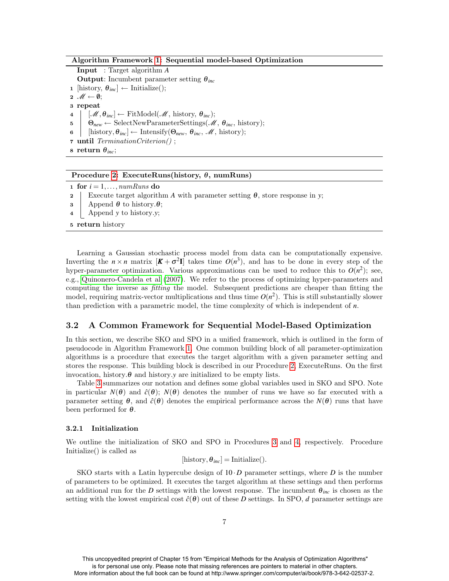| Algorithm Framework 1: Sequential model-based Optimization |  |  |  |
|------------------------------------------------------------|--|--|--|
|                                                            |  |  |  |

Input : Target algorithm *A* Output: Incumbent parameter setting θ*inc* 1 [history,  $\theta_{inc}$ ]  $\leftarrow$  Initialize();  $2 \mathcal{M} \leftarrow \emptyset;$ <sup>3</sup> repeat  $4 \mid [\mathcal{M}, \theta_{inc}] \leftarrow \text{FitModel}(\mathcal{M}, \text{ history}, \theta_{inc});$ 5  $\Theta_{new} \leftarrow \text{SelectNewParameterSetting}(\mathcal{M}, \Theta_{inc}, \text{history});$ 6  $\left[$  [history,  $\theta_{inc}$ ]  $\leftarrow$  Intensify( $\Theta_{new}$ ,  $\theta_{inc}$ ,  $\mathcal{M}$ , history);  $\tau$  until TerminationCriterion(); 8 return  $\theta_{inc}$ ;

#### Procedure [2:](#page-6-0) ExecuteRuns(history, θ, numRuns)

1 for  $i = 1, \ldots, numRuns$  do

**2** Execute target algorithm *A* with parameter setting  $\theta$ , store response in *y*;

- **3** Append  $\theta$  to history. $\theta$ ;
- <sup>4</sup> Append *y* to history.*y*;
- <sup>5</sup> return history

Learning a Gaussian stochastic process model from data can be computationally expensive. Inverting the  $n \times n$  matrix  $[K + \sigma^2]$  takes time  $O(n^3)$ , and has to be done in every step of the hyper-parameter optimization. Various approximations can be used to reduce this to  $O(n^2)$ ; see, e.g., [Quinonero-Candela et al](#page-43-4) [\(2007\)](#page-43-4). We refer to the process of optimizing hyper-parameters and computing the inverse as fitting the model. Subsequent predictions are cheaper than fitting the model, requiring matrix-vector multiplications and thus time  $O(n^2)$ . This is still substantially slower than prediction with a parametric model, the time complexity of which is independent of *n*.

### 3.2 A Common Framework for Sequential Model-Based Optimization

<span id="page-6-0"></span>In this section, we describe SKO and SPO in a unified framework, which is outlined in the form of pseudocode in Algorithm Framework [1.](#page-6-0) One common building block of all parameter-optimization algorithms is a procedure that executes the target algorithm with a given parameter setting and stores the response. This building block is described in our Procedure [2,](#page-6-0) ExecuteRuns. On the first invocation, history. $\theta$  and history.*y* are initialized to be empty lists.

Table [3](#page-5-0) summarizes our notation and defines some global variables used in SKO and SPO. Note in particular  $N(\theta)$  and  $\hat{c}(\theta)$ ;  $N(\theta)$  denotes the number of runs we have so far executed with a parameter setting  $\theta$ , and  $\hat{c}(\theta)$  denotes the empirical performance across the  $N(\theta)$  runs that have been performed for  $\theta$ .

#### 3.2.1 Initialization

We outline the initialization of SKO and SPO in Procedures [3](#page-7-0) and [4,](#page-7-0) respectively. Procedure Initialize() is called as

$$
[\text{history}, \theta_{\text{inc}}] = \text{Initialize}().
$$

SKO starts with a Latin hypercube design of  $10 \cdot D$  parameter settings, where *D* is the number of parameters to be optimized. It executes the target algorithm at these settings and then performs an additional run for the *D* settings with the lowest response. The incumbent  $\theta_{inc}$  is chosen as the setting with the lowest empirical cost  $\hat{c}(\theta)$  out of these *D* settings. In SPO, *d* parameter settings are

This uncopyedited preprint of Chapter 15 from "Empirical Methods for the Analysis of Optimization Algorithms" is for personal use only. Please note that missing references are pointers to material in other chapters. More information about the full book can be found at http://www.springer.com/computer/ai/book/978-3-642-02537-2.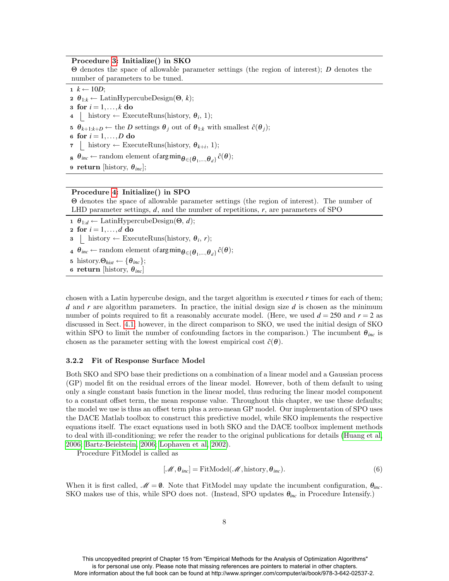#### Procedure [3:](#page-7-0) Initialize() in SKO

Θ denotes the space of allowable parameter settings (the region of interest); *D* denotes the number of parameters to be tuned.

 $1 \ k \leftarrow 10D$ ;

2  $\theta_{1:k} \leftarrow$  LatinHypercubeDesign( $\Theta$ , k); 3 for  $i = 1, \ldots, k$  do 4 | history ← ExecuteRuns(history,  $\theta_i$ , 1); 5  $\theta_{k+1:k+D}$  ← the *D* settings  $\theta_j$  out of  $\theta_{1:k}$  with smallest  $\hat{c}(\theta_j)$ ; 6 for  $i = 1, \ldots, D$  do  $\tau$  | history ← ExecuteRuns(history,  $\theta_{k+i}$ , 1);  $\theta$ <sub>*inc*</sub> ← random element of argmin $\theta \in {\theta_1, \dots, \theta_d}$   $\hat{c}(\theta)$ ;

9 return [history,  $\theta_{inc}$ ];

#### Procedure [4:](#page-7-0) Initialize() in SPO

Θ denotes the space of allowable parameter settings (the region of interest). The number of LHD parameter settings, *d*, and the number of repetitions, *r*, are parameters of SPO

1  $\theta_{1:d} \leftarrow$  LatinHypercubeDesign( $\Theta$ , *d*);

2 for  $i = 1, \ldots, d$  do

**a** | history ← ExecuteRuns(history,  $\theta_i$ , *r*);

 $\theta$ <sub>*inc*</sub> ← random element of argmin $\theta$ ∈{θ<sub>1</sub>,...,θ<sub>d</sub>}</sub>  $\hat{c}(\theta)$ ;

5 history. $\Theta_{hist} \leftarrow {\theta_{inc}};$ 

<sup>6</sup> return [history, θ*inc*]

chosen with a Latin hypercube design, and the target algorithm is executed *r* times for each of them; *d* and *r* are algorithm parameters. In practice, the initial design size *d* is chosen as the minimum number of points required to fit a reasonably accurate model. (Here, we used  $d = 250$  and  $r = 2$  as discussed in Sect. [4.1;](#page-14-1) however, in the direct comparison to SKO, we used the initial design of SKO within SPO to limit the number of confounding factors in the comparison.) The incumbent  $\theta_{inc}$  is chosen as the parameter setting with the lowest empirical cost  $\hat{c}(\theta)$ .

#### <span id="page-7-0"></span>3.2.2 Fit of Response Surface Model

Both SKO and SPO base their predictions on a combination of a linear model and a Gaussian process (GP) model fit on the residual errors of the linear model. However, both of them default to using only a single constant basis function in the linear model, thus reducing the linear model component to a constant offset term, the mean response value. Throughout this chapter, we use these defaults; the model we use is thus an offset term plus a zero-mean GP model. Our implementation of SPO uses the DACE Matlab toolbox to construct this predictive model, while SKO implements the respective equations itself. The exact equations used in both SKO and the DACE toolbox implement methods to deal with ill-conditioning; we refer the reader to the original publications for details [\(Huang et al,](#page-42-0) [2006;](#page-42-0) [Bartz-Beielstein, 2006;](#page-40-5) [Lophaven et al, 2002\)](#page-42-10).

Procedure FitModel is called as

$$
[\mathcal{M}, \theta_{inc}] = \text{FitModel}(\mathcal{M}, \text{history}, \theta_{inc}).
$$
\n(6)

<span id="page-7-1"></span>When it is first called,  $\mathcal{M} = \emptyset$ . Note that FitModel may update the incumbent configuration,  $\theta_{inc}$ . SKO makes use of this, while SPO does not. (Instead, SPO updates  $\theta_{inc}$  in Procedure Intensify.)

This uncopyedited preprint of Chapter 15 from "Empirical Methods for the Analysis of Optimization Algorithms" is for personal use only. Please note that missing references are pointers to material in other chapters. More information about the full book can be found at http://www.springer.com/computer/ai/book/978-3-642-02537-2.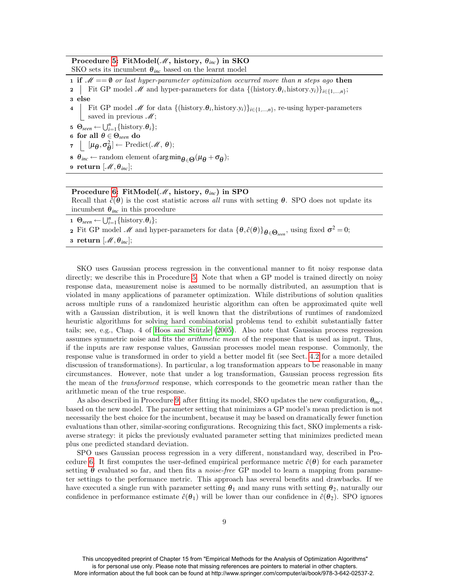## Procedure [5:](#page-7-1) FitModel(M, history, θ*inc*) in SKO

SKO sets its incumbent  $\theta_{inc}$  based on the learnt model

1 if  $M == 0$  or last hyper-parameter optimization occurred more than *n* steps ago then

**2** | Fit GP model M and hyper-parameters for data  $\{(\text{history.}\theta_i, \text{history.} y_i)\}_{i \in \{1,\dots,n\}}$ 

<sup>3</sup> else

Fit GP model M for data  $\{(\text{history.}\theta_i, \text{history.} y_i)\}_{i\in\{1,\dots,n\}}$ , re-using hyper-parameters saved in previous  $\mathscr{M};$ 

5  $\Theta_{seen} \leftarrow \bigcup_{i=1}^{n} {\text{history.}\theta_i};$ 

<sup>6</sup> for all θ ∈ Θ*seen* do

 $\tau \quad \left[ \ \mu_{\boldsymbol{\theta}}, \sigma_{\boldsymbol{\theta}}^2 \right] \leftarrow \mathrm{Predict}(\mathscr{M}, \ \boldsymbol{\theta});$ 

**8**  $\theta_{inc} \leftarrow$  random element of argmin $\theta \in \Theta(\mu_{\theta} + \sigma_{\theta});$ 

9 return  $[\mathcal{M}, \theta_{inc}];$ 

## Procedure [6:](#page-7-1) FitModel(M, history, θ*inc*) in SPO

Recall that  $\hat{c}(\theta)$  is the cost statistic across all runs with setting  $\theta$ . SPO does not update its incumbent  $\theta_{inc}$  in this procedure

1  $\Theta_{seen} \leftarrow \bigcup_{i=1}^{n} {\text{history.}\theta_i};$ 

**2** Fit GP model M and hyper-parameters for data  $\{\theta, \hat{c}(\theta)\}_{\theta \in \Theta_{seen}}$ , using fixed  $\sigma^2 = 0$ ;

3 return  $[\mathcal{M}, \theta_{inc}];$ 

SKO uses Gaussian process regression in the conventional manner to fit noisy response data directly; we describe this in Procedure [5.](#page-7-1) Note that when a GP model is trained directly on noisy response data, measurement noise is assumed to be normally distributed, an assumption that is violated in many applications of parameter optimization. While distributions of solution qualities across multiple runs of a randomized heuristic algorithm can often be approximated quite well with a Gaussian distribution, it is well known that the distributions of runtimes of randomized heuristic algorithms for solving hard combinatorial problems tend to exhibit substantially fatter tails; see, e.g., Chap. 4 of Hoos and Stützle [\(2005\)](#page-42-11). Also note that Gaussian process regression assumes symmetric noise and fits the arithmetic mean of the response that is used as input. Thus, if the inputs are raw response values, Gaussian processes model mean response. Commonly, the response value is transformed in order to yield a better model fit (see Sect. [4.2](#page-16-1) for a more detailed discussion of transformations). In particular, a log transformation appears to be reasonable in many circumstances. However, note that under a log transformation, Gaussian process regression fits the mean of the transformed response, which corresponds to the geometric mean rather than the arithmetic mean of the true response.

As also described in Procedure [9,](#page-10-0) after fitting its model, SKO updates the new configuration, θ*inc*, based on the new model. The parameter setting that minimizes a GP model's mean prediction is not necessarily the best choice for the incumbent, because it may be based on dramatically fewer function evaluations than other, similar-scoring configurations. Recognizing this fact, SKO implements a riskaverse strategy: it picks the previously evaluated parameter setting that minimizes predicted mean plus one predicted standard deviation.

SPO uses Gaussian process regression in a very different, nonstandard way, described in Pro-cedure [6.](#page-7-1) It first computes the user-defined empirical performance metric  $\hat{c}(\theta)$  for each parameter setting  $\theta$  evaluated so far, and then fits a *noise-free* GP model to learn a mapping from parameter settings to the performance metric. This approach has several benefits and drawbacks. If we have executed a single run with parameter setting  $\theta_1$  and many runs with setting  $\theta_2$ , naturally our confidence in performance estimate  $\hat{c}(\theta_1)$  will be lower than our confidence in  $\hat{c}(\theta_2)$ . SPO ignores

This uncopyedited preprint of Chapter 15 from "Empirical Methods for the Analysis of Optimization Algorithms" is for personal use only. Please note that missing references are pointers to material in other chapters. More information about the full book can be found at http://www.springer.com/computer/ai/book/978-3-642-02537-2.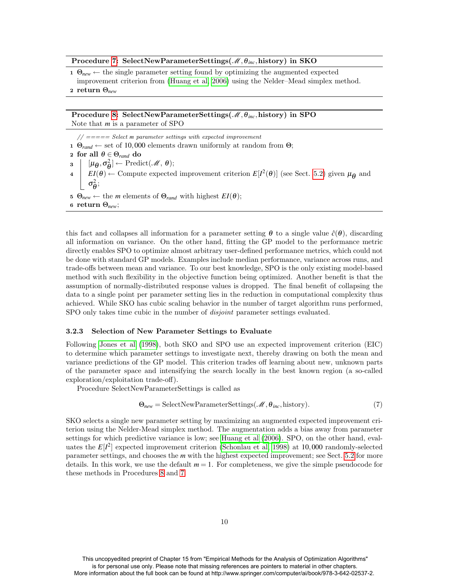#### Procedure [7:](#page-9-0) SelectNewParameterSettings(M,θ*inc*,history) in SKO

1  $\Theta_{new}$  ← the single parameter setting found by optimizing the augmented expected improvement criterion from [\(Huang et al, 2006\)](#page-42-0) using the Nelder–Mead simplex method. <sup>2</sup> return Θ*new*

### Procedure [8:](#page-9-0) SelectNewParameterSettings(M,θ*inc*,history) in SPO Note that *m* is a parameter of SPO

// ===== Select *m* parameter settings with expected improvement 1  $\Theta_{rand} \leftarrow$  set of 10,000 elements drawn uniformly at random from  $\Theta$ ; 2 for all  $\theta \in \Theta_{rand}$  do  $\mathbf{s} \mid [\mu_{\boldsymbol{\theta}}, \sigma_{\boldsymbol{\theta}}^2] \leftarrow \text{Predict}(\mathscr{M}, \boldsymbol{\theta});$ θ  $\mathcal{L} = EI(\theta) \leftarrow$  Compute expected improvement criterion  $E[I^2(\theta)]$  (see Sect. [5.2\)](#page-23-0) given  $\mu_{\theta}$  and  $\sigma_{\theta}^2$ ; 5  $\Theta_{new} \leftarrow$  the *m* elements of  $\Theta_{rand}$  with highest  $EI(\theta)$ ; <sup>6</sup> return Θ*new*;

this fact and collapses all information for a parameter setting  $\theta$  to a single value  $\hat{c}(\theta)$ , discarding all information on variance. On the other hand, fitting the GP model to the performance metric directly enables SPO to optimize almost arbitrary user-defined performance metrics, which could not be done with standard GP models. Examples include median performance, variance across runs, and trade-offs between mean and variance. To our best knowledge, SPO is the only existing model-based method with such flexibility in the objective function being optimized. Another benefit is that the assumption of normally-distributed response values is dropped. The final benefit of collapsing the data to a single point per parameter setting lies in the reduction in computational complexity thus achieved. While SKO has cubic scaling behavior in the number of target algorithm runs performed, SPO only takes time cubic in the number of *disjoint* parameter settings evaluated.

### 3.2.3 Selection of New Parameter Settings to Evaluate

Following [Jones et al](#page-42-4) [\(1998\)](#page-42-4), both SKO and SPO use an expected improvement criterion (EIC) to determine which parameter settings to investigate next, thereby drawing on both the mean and variance predictions of the GP model. This criterion trades off learning about new, unknown parts of the parameter space and intensifying the search locally in the best known region (a so-called exploration/exploitation trade-off).

<span id="page-9-0"></span>Procedure SelectNewParameterSettings is called as

$$
\Theta_{new} = \text{SelectNewParameterSetting}(\mathcal{M}, \theta_{inc}, \text{history}).
$$
\n(7)

SKO selects a single new parameter setting by maximizing an augmented expected improvement criterion using the Nelder-Mead simplex method. The augmentation adds a bias away from parameter settings for which predictive variance is low; see [Huang et al](#page-42-0) [\(2006\)](#page-42-0). SPO, on the other hand, evaluates the  $E[I^2]$  expected improvement criterion [\(Schonlau et al, 1998\)](#page-43-5) at 10,000 randomly-selected parameter settings, and chooses the *m* with the highest expected improvement; see Sect. [5.2](#page-23-0) for more details. In this work, we use the default  $m = 1$ . For completeness, we give the simple pseudocode for these methods in Procedures [8](#page-9-0) and [7.](#page-9-0)

This uncopyedited preprint of Chapter 15 from "Empirical Methods for the Analysis of Optimization Algorithms" is for personal use only. Please note that missing references are pointers to material in other chapters. More information about the full book can be found at http://www.springer.com/computer/ai/book/978-3-642-02537-2.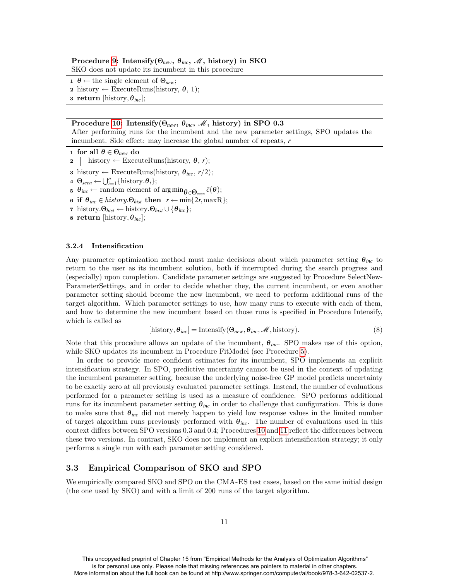Procedure [9:](#page-10-0) Intensify( $\Theta_{new}$ ,  $\theta_{inc}$ , *M*, history) in SKO SKO does not update its incumbent in this procedure

1  $\theta \leftarrow$  the single element of  $\Theta_{new}$ ;

- **2** history  $\leftarrow$  ExecuteRuns(history,  $\theta$ , 1);
- **3 return** [history,  $\theta_{inc}$ ];

Procedure [10:](#page-10-0) Intensify(Θ*new*, θ*inc*, M, history) in SPO 0.3

After performing runs for the incumbent and the new parameter settings, SPO updates the incumbent. Side effect: may increase the global number of repeats, *r*

1 for all  $\theta \in \Theta_{new}$  do **2** | history ← ExecuteRuns(history,  $\theta$ , *r*); **3** history ← ExecuteRuns(history,  $\theta_{inc}$ ,  $r/2$ ); 4  $\Theta_{seen} \leftarrow \bigcup_{i=1}^{n} {\text{history.}\theta_i};$  $\theta_{inc} \leftarrow$  random element of  $\arg\min_{\theta \in \Theta_{seen}} \hat{c}(\theta);$ 6 if  $\theta_{inc} \in history.\Theta_{hist}$  then  $r \leftarrow min\{2r, maxR\};$ <sup>7</sup> history.Θ*hist* ← history.Θ*hist* ∪ {θ*inc*}; **8 return** [history,  $\theta_{inc}$ ];

#### <span id="page-10-1"></span>3.2.4 Intensification

Any parameter optimization method must make decisions about which parameter setting θ*inc* to return to the user as its incumbent solution, both if interrupted during the search progress and (especially) upon completion. Candidate parameter settings are suggested by Procedure SelectNew-ParameterSettings, and in order to decide whether they, the current incumbent, or even another parameter setting should become the new incumbent, we need to perform additional runs of the target algorithm. Which parameter settings to use, how many runs to execute with each of them, and how to determine the new incumbent based on those runs is specified in Procedure Intensify, which is called as

$$
[\text{history}, \theta_{inc}] = \text{Intensity}(\Theta_{new}, \theta_{inc}, \mathcal{M}, \text{history}). \tag{8}
$$

Note that this procedure allows an update of the incumbent,  $\theta_{inc}$ . SPO makes use of this option, while SKO updates its incumbent in Procedure FitModel (see Procedure [5\)](#page-7-1).

In order to provide more confident estimates for its incumbent, SPO implements an explicit intensification strategy. In SPO, predictive uncertainty cannot be used in the context of updating the incumbent parameter setting, because the underlying noise-free GP model predicts uncertainty to be exactly zero at all previously evaluated parameter settings. Instead, the number of evaluations performed for a parameter setting is used as a measure of confidence. SPO performs additional runs for its incumbent parameter setting  $\theta_{inc}$  in order to challenge that configuration. This is done to make sure that  $\theta_{inc}$  did not merely happen to yield low response values in the limited number of target algorithm runs previously performed with  $\theta_{inc}$ . The number of evaluations used in this context differs between SPO versions 0.3 and 0.4; Procedures [10](#page-10-0) and [11](#page-10-0) reflect the differences between these two versions. In contrast, SKO does not implement an explicit intensification strategy; it only performs a single run with each parameter setting considered.

## <span id="page-10-0"></span>3.3 Empirical Comparison of SKO and SPO

We empirically compared SKO and SPO on the CMA-ES test cases, based on the same initial design (the one used by SKO) and with a limit of 200 runs of the target algorithm.

This uncopyedited preprint of Chapter 15 from "Empirical Methods for the Analysis of Optimization Algorithms" is for personal use only. Please note that missing references are pointers to material in other chapters. More information about the full book can be found at http://www.springer.com/computer/ai/book/978-3-642-02537-2.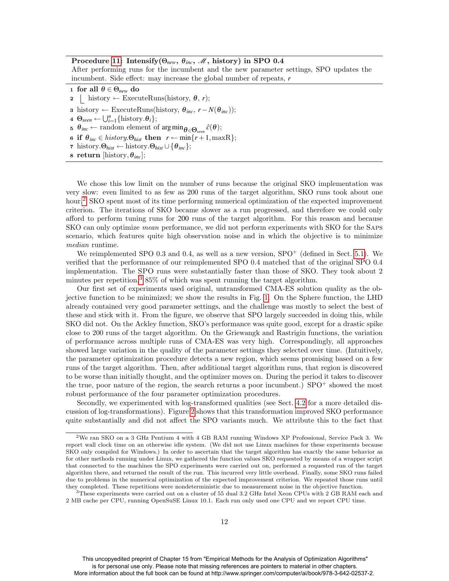Procedure [11:](#page-10-0) Intensify( $\Theta_{new}$ ,  $\theta_{inc}$ , M, history) in SPO 0.4 After performing runs for the incumbent and the new parameter settings, SPO updates the incumbent. Side effect: may increase the global number of repeats, *r*

- 1 for all  $\theta \in \Theta_{\textit{new}}$  do
- **2** | history ← ExecuteRuns(history,  $\theta$ , *r*);
- <sup>3</sup> history ← ExecuteRuns(history, θ*inc*, *r* −*N*(θ*inc*));
- 4  $\Theta_{seen} \leftarrow \bigcup_{i=1}^{n} {\text{history.}\theta_i};$

 $\theta_{inc} \leftarrow$  random element of  $\arg\min_{\theta \in \Theta_{seen}} \hat{c}(\theta);$ 

- 6 if  $\theta_{inc} \in history.\Theta_{hist}$  then  $r \leftarrow min\{r+1, maxR\};$
- <sup>7</sup> history.Θ*hist* ← history.Θ*hist* ∪ {θ*inc*};
- **8 return** [history,  $\theta_{inc}$ ];

We chose this low limit on the number of runs because the original SKO implementation was very slow: even limited to as few as 200 runs of the target algorithm, SKO runs took about one hour.<sup>[2](#page-11-0)</sup> SKO spent most of its time performing numerical optimization of the expected improvement criterion. The iterations of SKO became slower as a run progressed, and therefore we could only afford to perform tuning runs for 200 runs of the target algorithm. For this reason and because SKO can only optimize mean performance, we did not perform experiments with SKO for the Saps scenario, which features quite high observation noise and in which the objective is to minimize median runtime.

We reimplemented SPO 0.3 and 0.4, as well as a new version,  $SPO<sup>+</sup>$  (defined in Sect. [5.1\)](#page-17-0). We verified that the performance of our reimplemented SPO 0.4 matched that of the original SPO 0.4 implementation. The SPO runs were substantially faster than those of SKO. They took about 2 minutes per repetition,<sup>[3](#page-11-1)</sup> 85% of which was spent running the target algorithm.

Our first set of experiments used original, untransformed CMA-ES solution quality as the objective function to be minimized; we show the results in Fig. [1.](#page-12-0) On the Sphere function, the LHD already contained very good parameter settings, and the challenge was mostly to select the best of these and stick with it. From the figure, we observe that SPO largely succeeded in doing this, while SKO did not. On the Ackley function, SKO's performance was quite good, except for a drastic spike close to 200 runs of the target algorithm. On the Griewangk and Rastrigin functions, the variation of performance across multiple runs of CMA-ES was very high. Correspondingly, all approaches showed large variation in the quality of the parameter settings they selected over time. (Intuitively, the parameter optimization procedure detects a new region, which seems promising based on a few runs of the target algorithm. Then, after additional target algorithm runs, that region is discovered to be worse than initially thought, and the optimizer moves on. During the period it takes to discover the true, poor nature of the region, the search returns a poor incumbent.)  $SPO^+$  showed the most robust performance of the four parameter optimization procedures.

Secondly, we experimented with log-transformed qualities (see Sect. [4.2](#page-16-1) for a more detailed discussion of log-transformations). Figure [2](#page-13-0) shows that this transformation improved SKO performance quite substantially and did not affect the SPO variants much. We attribute this to the fact that

<span id="page-11-0"></span><sup>&</sup>lt;sup>2</sup>We ran SKO on a 3 GHz Pentium 4 with 4 GB RAM running Windows XP Professional, Service Pack 3. We report wall clock time on an otherwise idle system. (We did not use Linux machines for these experiments because SKO only compiled for Windows.) In order to ascertain that the target algorithm has exactly the same behavior as for other methods running under Linux, we gathered the function values SKO requested by means of a wrapper script that connected to the machines the SPO experiments were carried out on, performed a requested run of the target algorithm there, and returned the result of the run. This incurred very little overhead. Finally, some SKO runs failed due to problems in the numerical optimization of the expected improvement criterion. We repeated those runs until they completed. These repetitions were nondeterministic due to measurement noise in the objective function.

<span id="page-11-1"></span><sup>3</sup>These experiments were carried out on a cluster of 55 dual 3.2 GHz Intel Xeon CPUs with 2 GB RAM each and 2 MB cache per CPU, running OpenSuSE Linux 10.1. Each run only used one CPU and we report CPU time.

This uncopyedited preprint of Chapter 15 from "Empirical Methods for the Analysis of Optimization Algorithms" is for personal use only. Please note that missing references are pointers to material in other chapters. More information about the full book can be found at http://www.springer.com/computer/ai/book/978-3-642-02537-2.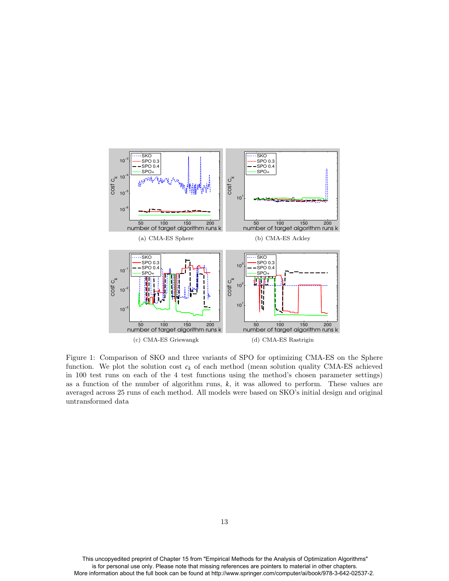

<span id="page-12-0"></span>Figure 1: Comparison of SKO and three variants of SPO for optimizing CMA-ES on the Sphere function. We plot the solution cost  $c_k$  of each method (mean solution quality CMA-ES achieved in 100 test runs on each of the 4 test functions using the method's chosen parameter settings) as a function of the number of algorithm runs, *k*, it was allowed to perform. These values are averaged across 25 runs of each method. All models were based on SKO's initial design and original untransformed data

This uncopyedited preprint of Chapter 15 from "Empirical Methods for the Analysis of Optimization Algorithms" is for personal use only. Please note that missing references are pointers to material in other chapters. More information about the full book can be found at http://www.springer.com/computer/ai/book/978-3-642-02537-2.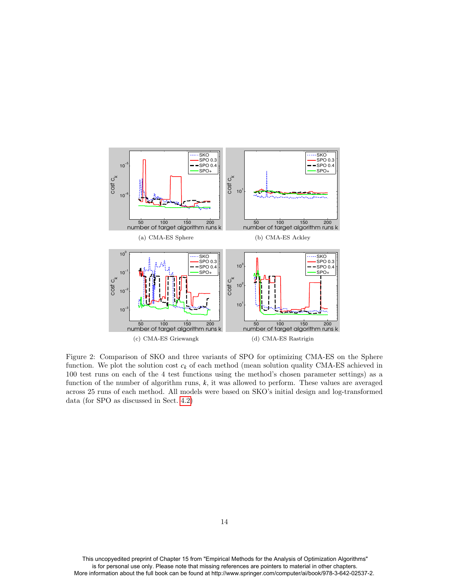

<span id="page-13-0"></span>Figure 2: Comparison of SKO and three variants of SPO for optimizing CMA-ES on the Sphere function. We plot the solution cost  $c_k$  of each method (mean solution quality CMA-ES achieved in 100 test runs on each of the 4 test functions using the method's chosen parameter settings) as a function of the number of algorithm runs, *k*, it was allowed to perform. These values are averaged across 25 runs of each method. All models were based on SKO's initial design and log-transformed data (for SPO as discussed in Sect. [4.2\)](#page-16-1)

This uncopyedited preprint of Chapter 15 from "Empirical Methods for the Analysis of Optimization Algorithms" is for personal use only. Please note that missing references are pointers to material in other chapters. More information about the full book can be found at http://www.springer.com/computer/ai/book/978-3-642-02537-2.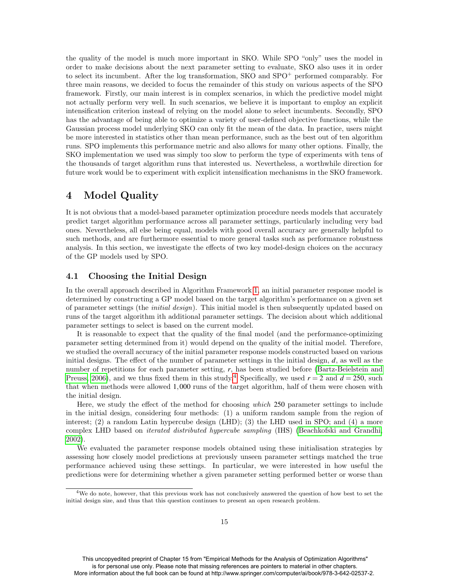the quality of the model is much more important in SKO. While SPO "only" uses the model in order to make decisions about the next parameter setting to evaluate, SKO also uses it in order to select its incumbent. After the log transformation, SKO and  $SPO<sup>+</sup>$  performed comparably. For three main reasons, we decided to focus the remainder of this study on various aspects of the SPO framework. Firstly, our main interest is in complex scenarios, in which the predictive model might not actually perform very well. In such scenarios, we believe it is important to employ an explicit intensification criterion instead of relying on the model alone to select incumbents. Secondly, SPO has the advantage of being able to optimize a variety of user-defined objective functions, while the Gaussian process model underlying SKO can only fit the mean of the data. In practice, users might be more interested in statistics other than mean performance, such as the best out of ten algorithm runs. SPO implements this performance metric and also allows for many other options. Finally, the SKO implementation we used was simply too slow to perform the type of experiments with tens of the thousands of target algorithm runs that interested us. Nevertheless, a worthwhile direction for future work would be to experiment with explicit intensification mechanisms in the SKO framework.

## <span id="page-14-0"></span>4 Model Quality

It is not obvious that a model-based parameter optimization procedure needs models that accurately predict target algorithm performance across all parameter settings, particularly including very bad ones. Nevertheless, all else being equal, models with good overall accuracy are generally helpful to such methods, and are furthermore essential to more general tasks such as performance robustness analysis. In this section, we investigate the effects of two key model-design choices on the accuracy of the GP models used by SPO.

## <span id="page-14-1"></span>4.1 Choosing the Initial Design

In the overall approach described in Algorithm Framework [1,](#page-6-0) an initial parameter response model is determined by constructing a GP model based on the target algorithm's performance on a given set of parameter settings (the *initial design*). This initial model is then subsequently updated based on runs of the target algorithm ith additional parameter settings. The decision about which additional parameter settings to select is based on the current model.

It is reasonable to expect that the quality of the final model (and the performance-optimizing parameter setting determined from it) would depend on the quality of the initial model. Therefore, we studied the overall accuracy of the initial parameter response models constructed based on various initial designs. The effect of the number of parameter settings in the initial design, *d*, as well as the number of repetitions for each parameter setting, *r*, has been studied before [\(Bartz-Beielstein and](#page-40-6) [Preuss, 2006\)](#page-40-6), and we thus fixed them in this study.<sup>[4](#page-14-2)</sup> Specifically, we used  $r = 2$  and  $d = 250$ , such that when methods were allowed 1,000 runs of the target algorithm, half of them were chosen with the initial design.

Here, we study the effect of the method for choosing which 250 parameter settings to include in the initial design, considering four methods: (1) a uniform random sample from the region of interest; (2) a random Latin hypercube design (LHD); (3) the LHD used in SPO; and (4) a more complex LHD based on iterated distributed hypercube sampling (IHS) [\(Beachkofski and Grandhi,](#page-41-10) [2002\)](#page-41-10).

We evaluated the parameter response models obtained using these initialisation strategies by assessing how closely model predictions at previously unseen parameter settings matched the true performance achieved using these settings. In particular, we were interested in how useful the predictions were for determining whether a given parameter setting performed better or worse than

<span id="page-14-2"></span><sup>&</sup>lt;sup>4</sup>We do note, however, that this previous work has not conclusively answered the question of how best to set the initial design size, and thus that this question continues to present an open research problem.

This uncopyedited preprint of Chapter 15 from "Empirical Methods for the Analysis of Optimization Algorithms" is for personal use only. Please note that missing references are pointers to material in other chapters. More information about the full book can be found at http://www.springer.com/computer/ai/book/978-3-642-02537-2.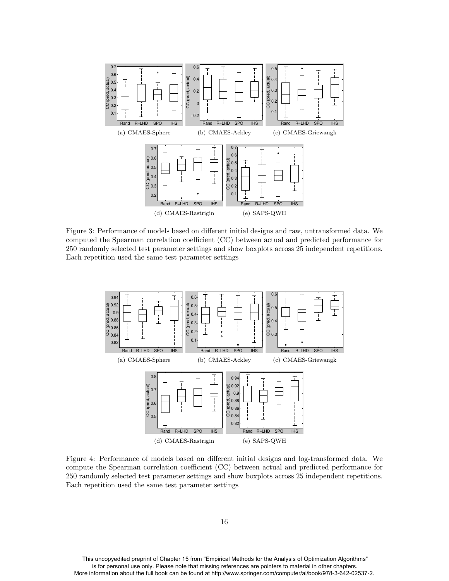

<span id="page-15-0"></span>Figure 3: Performance of models based on different initial designs and raw, untransformed data. We computed the Spearman correlation coefficient (CC) between actual and predicted performance for 250 randomly selected test parameter settings and show boxplots across 25 independent repetitions. Each repetition used the same test parameter settings



<span id="page-15-1"></span>Figure 4: Performance of models based on different initial designs and log-transformed data. We compute the Spearman correlation coefficient (CC) between actual and predicted performance for 250 randomly selected test parameter settings and show boxplots across 25 independent repetitions. Each repetition used the same test parameter settings

This uncopyedited preprint of Chapter 15 from "Empirical Methods for the Analysis of Optimization Algorithms" is for personal use only. Please note that missing references are pointers to material in other chapters. More information about the full book can be found at http://www.springer.com/computer/ai/book/978-3-642-02537-2.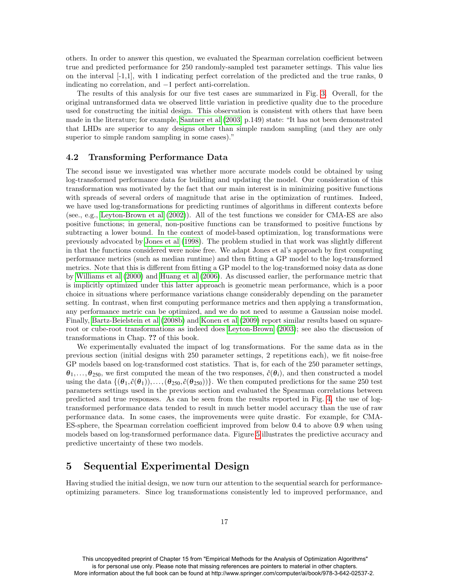others. In order to answer this question, we evaluated the Spearman correlation coefficient between true and predicted performance for 250 randomly-sampled test parameter settings. This value lies on the interval [-1,1], with 1 indicating perfect correlation of the predicted and the true ranks, 0 indicating no correlation, and −1 perfect anti-correlation.

The results of this analysis for our five test cases are summarized in Fig. [3.](#page-15-0) Overall, for the original untransformed data we observed little variation in predictive quality due to the procedure used for constructing the initial design. This observation is consistent with others that have been made in the literature; for example, [Santner et al](#page-43-6) [\(2003,](#page-43-6) p.149) state: "It has not been demonstrated that LHDs are superior to any designs other than simple random sampling (and they are only superior to simple random sampling in some cases)."

## <span id="page-16-1"></span>4.2 Transforming Performance Data

The second issue we investigated was whether more accurate models could be obtained by using log-transformed performance data for building and updating the model. Our consideration of this transformation was motivated by the fact that our main interest is in minimizing positive functions with spreads of several orders of magnitude that arise in the optimization of runtimes. Indeed, we have used log-transformations for predicting runtimes of algorithms in different contexts before (see., e.g., [Leyton-Brown et al](#page-42-12) [\(2002\)](#page-42-12)). All of the test functions we consider for CMA-ES are also positive functions; in general, non-positive functions can be transformed to positive functions by subtracting a lower bound. In the context of model-based optimization, log transformations were previously advocated by [Jones et al](#page-42-4) [\(1998\)](#page-42-4). The problem studied in that work was slightly different in that the functions considered were noise free. We adapt Jones et al's approach by first computing performance metrics (such as median runtime) and then fitting a GP model to the log-transformed metrics. Note that this is different from fitting a GP model to the log-transformed noisy data as done by [Williams et al](#page-43-1) [\(2000\)](#page-43-1) and [Huang et al](#page-42-0) [\(2006\)](#page-42-0). As discussed earlier, the performance metric that is implicitly optimized under this latter approach is geometric mean performance, which is a poor choice in situations where performance variations change considerably depending on the parameter setting. In contrast, when first computing performance metrics and then applying a transformation, any performance metric can be optimized, and we do not need to assume a Gaussian noise model. Finally, [Bartz-Beielstein et al](#page-41-6) [\(2008b\)](#page-41-6) and [Konen et al](#page-42-13) [\(2009\)](#page-42-13) report similar results based on squareroot or cube-root transformations as indeed does [Leyton-Brown](#page-42-14) [\(2003\)](#page-42-14); see also the discussion of transformations in Chap. ?? of this book.

We experimentally evaluated the impact of log transformations. For the same data as in the previous section (initial designs with 250 parameter settings, 2 repetitions each), we fit noise-free GP models based on log-transformed cost statistics. That is, for each of the 250 parameter settings,  $\theta_1,\ldots,\theta_{250}$ , we first computed the mean of the two responses,  $\hat{c}(\theta_i)$ , and then constructed a model using the data  $\{(\theta_1, \hat{c}(\theta_1)),...,(\theta_{250}, \hat{c}(\theta_{250}))\}$ . We then computed predictions for the same 250 test parameters settings used in the previous section and evaluated the Spearman correlations between predicted and true responses. As can be seen from the results reported in Fig. [4,](#page-15-1) the use of logtransformed performance data tended to result in much better model accuracy than the use of raw performance data. In some cases, the improvements were quite drastic. For example, for CMA-ES-sphere, the Spearman correlation coefficient improved from below 0.4 to above 0.9 when using models based on log-transformed performance data. Figure [5](#page-17-1) illustrates the predictive accuracy and predictive uncertainty of these two models.

## <span id="page-16-0"></span>5 Sequential Experimental Design

Having studied the initial design, we now turn our attention to the sequential search for performanceoptimizing parameters. Since log transformations consistently led to improved performance, and

This uncopyedited preprint of Chapter 15 from "Empirical Methods for the Analysis of Optimization Algorithms" is for personal use only. Please note that missing references are pointers to material in other chapters. More information about the full book can be found at http://www.springer.com/computer/ai/book/978-3-642-02537-2.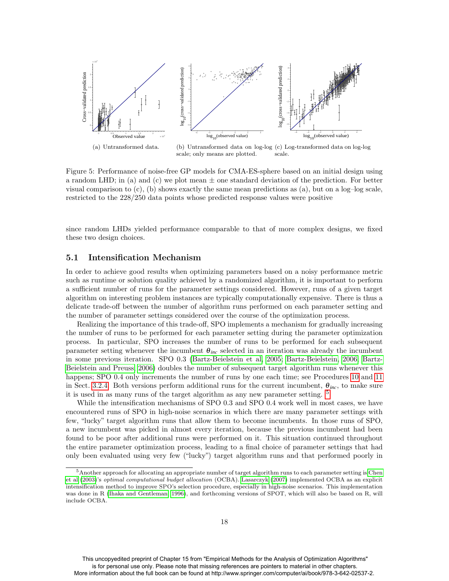

<span id="page-17-1"></span>Figure 5: Performance of noise-free GP models for CMA-ES-sphere based on an initial design using a random LHD; in (a) and (c) we plot mean  $\pm$  one standard deviation of the prediction. For better visual comparison to (c), (b) shows exactly the same mean predictions as (a), but on a log–log scale, restricted to the 228/250 data points whose predicted response values were positive

since random LHDs yielded performance comparable to that of more complex designs, we fixed these two design choices.

## <span id="page-17-0"></span>5.1 Intensification Mechanism

In order to achieve good results when optimizing parameters based on a noisy performance metric such as runtime or solution quality achieved by a randomized algorithm, it is important to perform a sufficient number of runs for the parameter settings considered. However, runs of a given target algorithm on interesting problem instances are typically computationally expensive. There is thus a delicate trade-off between the number of algorithm runs performed on each parameter setting and the number of parameter settings considered over the course of the optimization process.

Realizing the importance of this trade-off, SPO implements a mechanism for gradually increasing the number of runs to be performed for each parameter setting during the parameter optimization process. In particular, SPO increases the number of runs to be performed for each subsequent parameter setting whenever the incumbent  $\theta_{inc}$  selected in an iteration was already the incumbent in some previous iteration. SPO 0.3 [\(Bartz-Beielstein et al, 2005;](#page-41-0) [Bartz-Beielstein, 2006;](#page-40-5) [Bartz-](#page-40-6)[Beielstein and Preuss, 2006\)](#page-40-6) doubles the number of subsequent target algorithm runs whenever this happens; SPO 0.4 only increments the number of runs by one each time; see Procedures [10](#page-10-0) and [11](#page-10-0) in Sect. [3.2.4.](#page-10-1) Both versions perform additional runs for the current incumbent,  $\theta_{inc}$ , to make sure it is used in as many runs of the target algorithm as any new parameter setting. [5](#page-17-2)

While the intensification mechanisms of SPO 0.3 and SPO 0.4 work well in most cases, we have encountered runs of SPO in high-noise scenarios in which there are many parameter settings with few, "lucky" target algorithm runs that allow them to become incumbents. In those runs of SPO, a new incumbent was picked in almost every iteration, because the previous incumbent had been found to be poor after additional runs were performed on it. This situation continued throughout the entire parameter optimization process, leading to a final choice of parameter settings that had only been evaluated using very few ("lucky") target algorithm runs and that performed poorly in

<span id="page-17-2"></span><sup>&</sup>lt;sup>5</sup>Another approach for allocating an appropriate number of target algorithm runs to each parameter setting is [Chen](#page-41-11) [et al](#page-41-11) [\(2003\)](#page-41-11)'s optimal computational budget allocation (OCBA). [Lasarczyk](#page-42-15) [\(2007\)](#page-42-15) implemented OCBA as an explicit intensification method to improve SPO's selection procedure, especially in high-noise scenarios. This implementation was done in R [\(Ihaka and Gentleman, 1996\)](#page-42-16), and forthcoming versions of SPOT, which will also be based on R, will include OCBA.

This uncopyedited preprint of Chapter 15 from "Empirical Methods for the Analysis of Optimization Algorithms" is for personal use only. Please note that missing references are pointers to material in other chapters. More information about the full book can be found at http://www.springer.com/computer/ai/book/978-3-642-02537-2.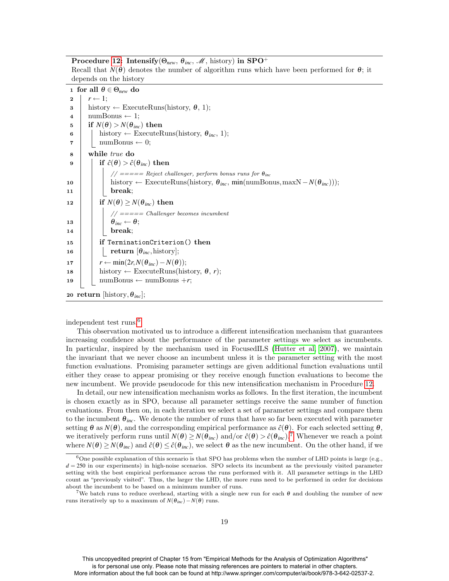**Procedure [12:](#page-18-0)** Intensify( $\Theta_{new}$ ,  $\theta_{inc}$ ,  $\mathcal{M}$ , history) in SPO<sup>+</sup> Recall that  $N(\theta)$  denotes the number of algorithm runs which have been performed for  $\theta$ ; it depends on the history

1 for all  $\theta \in \Theta_{new}$  do  $2 \mid r \leftarrow 1$ ;

**3** history ← ExecuteRuns(history,  $\theta$ , 1);  $4 \mid \text{numBonus} \leftarrow 1;$ 5 **if**  $N(\theta) > N(\theta_{inc})$  then 6 **history** ← ExecuteRuns(history,  $\theta_{inc}$ , 1);  $\tau$  | numBonus  $\leftarrow 0$ ; <sup>8</sup> while true do 9 if  $\hat{c}(\theta) > \hat{c}(\theta_{inc})$  then  $// == == Reject challenge, perform bonus runs for  $\theta_{inc}$$ 10 history ← ExecuteRuns(history,  $\theta_{inc}$ , min(numBonus, maxN -  $N(\theta_{inc}))$ ); <sup>11</sup> break; 12 **i** if  $N(\theta) \ge N(\theta_{inc})$  then  $// == == Challenger becomes \textit{incumbent}$ 13  $\vert \vert \vert \theta_{inc} \leftarrow \theta;$ <sup>14</sup> break; 15 | if TerminationCriterion() then 16 **return**  $[\theta_{inc},$ history]; 17 *r* ← min $(2r, N(\theta_{inc}) - N(\theta));$ 18 history ← ExecuteRuns(history,  $\theta$ , *r*); 19 | numBonus ← numBonus +*r*; 20 return [history,  $\theta_{inc}$ ];

independent test runs.[6](#page-18-1)

<span id="page-18-0"></span>This observation motivated us to introduce a different intensification mechanism that guarantees increasing confidence about the performance of the parameter settings we select as incumbents. In particular, inspired by the mechanism used in FocusedILS [\(Hutter et al, 2007\)](#page-42-1), we maintain the invariant that we never choose an incumbent unless it is the parameter setting with the most function evaluations. Promising parameter settings are given additional function evaluations until either they cease to appear promising or they receive enough function evaluations to become the new incumbent. We provide pseudocode for this new intensification mechanism in Procedure [12.](#page-18-0)

In detail, our new intensification mechanism works as follows. In the first iteration, the incumbent is chosen exactly as in SPO, because all parameter settings receive the same number of function evaluations. From then on, in each iteration we select a set of parameter settings and compare them to the incumbent  $\theta_{inc}$ . We denote the number of runs that have so far been executed with parameter setting  $\theta$  as  $N(\theta)$ , and the corresponding empirical performance as  $\hat{c}(\theta)$ . For each selected setting  $\theta$ , we iteratively perform runs until  $N(\theta) \ge N(\theta_{inc})$  and/or  $\hat{c}(\theta) > \hat{c}(\theta_{inc})$ .<sup>[7](#page-18-2)</sup> Whenever we reach a point where  $N(\theta) \ge N(\theta_{inc})$  and  $\hat{c}(\theta) \le \hat{c}(\theta_{inc})$ , we select  $\theta$  as the new incumbent. On the other hand, if we

<span id="page-18-1"></span> $6$ One possible explanation of this scenario is that SPO has problems when the number of LHD points is large (e.g.,  $d = 250$  in our experiments) in high-noise scenarios. SPO selects its incumbent as the previously visited parameter setting with the best empirical performance across the runs performed with it. All parameter settings in the LHD count as "previously visited". Thus, the larger the LHD, the more runs need to be performed in order for decisions about the incumbent to be based on a minimum number of runs.

<span id="page-18-2"></span><sup>&</sup>lt;sup>7</sup>We batch runs to reduce overhead, starting with a single new run for each  $\theta$  and doubling the number of new runs iteratively up to a maximum of  $N(\theta_{inc}) - N(\theta)$  runs.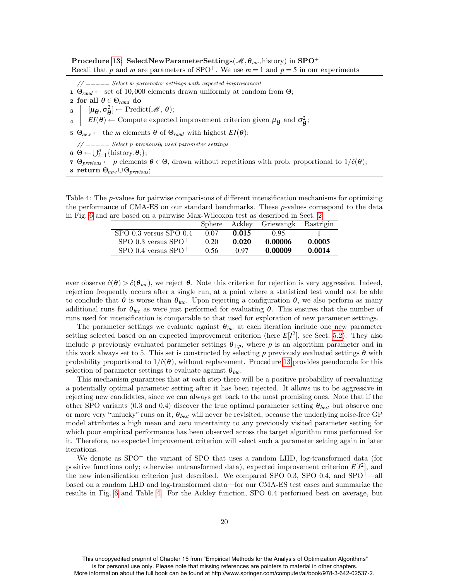Procedure [13:](#page-19-0) SelectNewParameterSettings(*M*, θ<sub>inc</sub>, history) in SPO<sup>+</sup> Recall that *p* and *m* are parameters of SPO<sup>+</sup>. We use  $m = 1$  and  $p = 5$  in our experiments

 $// == == Select m \ parameter \ settings \ with \ expected \ improvement$ 

1  $\Theta_{rand} \leftarrow$  set of 10,000 elements drawn uniformly at random from  $\Theta$ ;

2 for all  $\theta \in \Theta_{rand}$  do

 $\mathbf{a} \parallel [\mu_{\boldsymbol{\theta}}, \sigma_{\boldsymbol{\theta}}^2] \leftarrow \text{Predict}(\mathscr{M}, \boldsymbol{\theta});$ 

 $\mathcal{L}_4$   $\left[$   $EI(\theta) \leftarrow$  Compute expected improvement criterion given  $\mu_{\theta}$  and  $\sigma_{\theta}^2$ ;

**5** Θ<sub>new</sub> ← the *m* elements  $θ$  of Θ<sub>rand</sub> with highest  $EI(θ)$ ;

 $// == == Select p$  previously used parameter settings

6  $\Theta \leftarrow \bigcup_{i=1}^n \{\text{history.}\theta_i\};$ 

7  $\Theta_{previous} \leftarrow p$  elements  $\theta \in \Theta$ , drawn without repetitions with prob. proportional to  $1/\hat{c}(\theta)$ ;

8 return Θ<sub>new</sub>∪Θ<sub>previous</sub>;

<span id="page-19-1"></span>Table 4: The *p*-values for pairwise comparisons of different intensification mechanisms for optimizing the performance of CMA-ES on our standard benchmarks. These *p*-values correspond to the data in Fig. [6](#page-20-0) and are based on a pairwise Max-Wilcoxon test as described in Sect. [2](#page-3-0)

|                            | <b>Sphere</b> | Ackley | Griewangk | Rastrigin |
|----------------------------|---------------|--------|-----------|-----------|
| $SPO$ 0.3 versus $SPO$ 0.4 | 0.07          | 0.015  | 0.95      |           |
| $SPO$ 0.3 versus $SPO+$    | 0.20          | 0.020  | 0.00006   | 0.0005    |
| $SPO$ 0.4 versus $SPO+$    | 0.56          | 0.97   | 0.00009   | 0.0014    |

ever observe  $\hat{c}(\theta) > \hat{c}(\theta_{inc})$ , we reject  $\theta$ . Note this criterion for rejection is very aggressive. Indeed, rejection frequently occurs after a single run, at a point where a statistical test would not be able to conclude that  $\theta$  is worse than  $\theta_{inc}$ . Upon rejecting a configuration  $\theta$ , we also perform as many additional runs for  $\theta_{inc}$  as were just performed for evaluating  $\theta$ . This ensures that the number of runs used for intensification is comparable to that used for exploration of new parameter settings.

<span id="page-19-0"></span>The parameter settings we evaluate against  $\theta_{inc}$  at each iteration include one new parameter setting selected based on an expected improvement criterion (here  $E[I^2]$ , see Sect. [5.2\)](#page-23-0). They also include *p* previously evaluated parameter settings  $\theta_{1:p}$ , where *p* is an algorithm parameter and in this work always set to 5. This set is constructed by selecting  $p$  previously evaluated settings  $\theta$  with probability proportional to  $1/\hat{c}(\theta)$ , without replacement. Procedure [13](#page-19-0) provides pseudocode for this selection of parameter settings to evaluate against  $\theta_{inc}$ .

This mechanism guarantees that at each step there will be a positive probability of reevaluating a potentially optimal parameter setting after it has been rejected. It allows us to be aggressive in rejecting new candidates, since we can always get back to the most promising ones. Note that if the other SPO variants (0.3 and 0.4) discover the true optimal parameter setting  $\theta_{best}$  but observe one or more very "unlucky" runs on it, θ*best* will never be revisited, because the underlying noise-free GP model attributes a high mean and zero uncertainty to any previously visited parameter setting for which poor empirical performance has been observed across the target algorithm runs performed for it. Therefore, no expected improvement criterion will select such a parameter setting again in later iterations.

We denote as  $SPO<sup>+</sup>$  the variant of SPO that uses a random LHD, log-transformed data (for positive functions only; otherwise untransformed data), expected improvement criterion  $E[I^2]$ , and the new intensification criterion just described. We compared SPO 0.3, SPO 0.4, and  $SPO^+$ —all based on a random LHD and log-transformed data—for our CMA-ES test cases and summarize the results in Fig. [6](#page-20-0) and Table [4.](#page-19-1) For the Ackley function, SPO 0.4 performed best on average, but

This uncopyedited preprint of Chapter 15 from "Empirical Methods for the Analysis of Optimization Algorithms" is for personal use only. Please note that missing references are pointers to material in other chapters. More information about the full book can be found at http://www.springer.com/computer/ai/book/978-3-642-02537-2.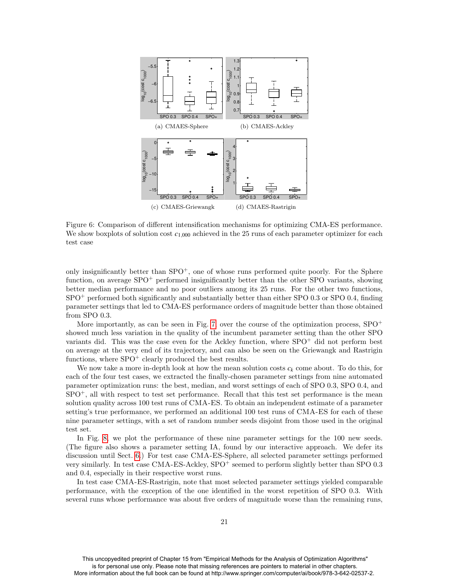

<span id="page-20-0"></span>Figure 6: Comparison of different intensification mechanisms for optimizing CMA-ES performance. We show boxplots of solution cost  $c_{1,000}$  achieved in the 25 runs of each parameter optimizer for each test case

only insignificantly better than  $SPO^+$ , one of whose runs performed quite poorly. For the Sphere function, on average  $SPO^+$  performed insignificantly better than the other SPO variants, showing better median performance and no poor outliers among its 25 runs. For the other two functions, SPO<sup>+</sup> performed both significantly and substantially better than either SPO 0.3 or SPO 0.4, finding parameter settings that led to CMA-ES performance orders of magnitude better than those obtained from SPO 0.3.

More importantly, as can be seen in Fig. [7,](#page-21-0) over the course of the optimization process,  $SPO^{+}$ showed much less variation in the quality of the incumbent parameter setting than the other SPO variants did. This was the case even for the Ackley function, where  $SPO^+$  did not perform best on average at the very end of its trajectory, and can also be seen on the Griewangk and Rastrigin functions, where  $SPO^+$  clearly produced the best results.

We now take a more in-depth look at how the mean solution costs  $c_k$  come about. To do this, for each of the four test cases, we extracted the finally-chosen parameter settings from nine automated parameter optimization runs: the best, median, and worst settings of each of SPO 0.3, SPO 0.4, and  $SPO^{+}$ , all with respect to test set performance. Recall that this test set performance is the mean solution quality across 100 test runs of CMA-ES. To obtain an independent estimate of a parameter setting's true performance, we performed an additional 100 test runs of CMA-ES for each of these nine parameter settings, with a set of random number seeds disjoint from those used in the original test set.

In Fig. [8,](#page-22-0) we plot the performance of these nine parameter settings for the 100 new seeds. (The figure also shows a parameter setting IA, found by our interactive approach. We defer its discussion until Sect. [6.](#page-27-0)) For test case CMA-ES-Sphere, all selected parameter settings performed very similarly. In test case CMA-ES-Ackley, SPO<sup>+</sup> seemed to perform slightly better than SPO 0.3 and 0.4, especially in their respective worst runs.

In test case CMA-ES-Rastrigin, note that most selected parameter settings yielded comparable performance, with the exception of the one identified in the worst repetition of SPO 0.3. With several runs whose performance was about five orders of magnitude worse than the remaining runs,

This uncopyedited preprint of Chapter 15 from "Empirical Methods for the Analysis of Optimization Algorithms" is for personal use only. Please note that missing references are pointers to material in other chapters. More information about the full book can be found at http://www.springer.com/computer/ai/book/978-3-642-02537-2.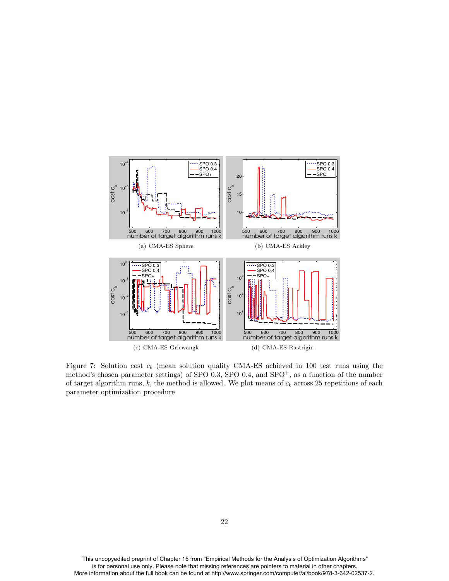

<span id="page-21-2"></span><span id="page-21-1"></span><span id="page-21-0"></span>Figure 7: Solution cost *c<sup>k</sup>* (mean solution quality CMA-ES achieved in 100 test runs using the method's chosen parameter settings) of SPO  $0.3$ , SPO  $0.4$ , and SPO<sup>+</sup>, as a function of the number of target algorithm runs,  $k$ , the method is allowed. We plot means of  $c_k$  across 25 repetitions of each parameter optimization procedure

This uncopyedited preprint of Chapter 15 from "Empirical Methods for the Analysis of Optimization Algorithms" is for personal use only. Please note that missing references are pointers to material in other chapters. More information about the full book can be found at http://www.springer.com/computer/ai/book/978-3-642-02537-2.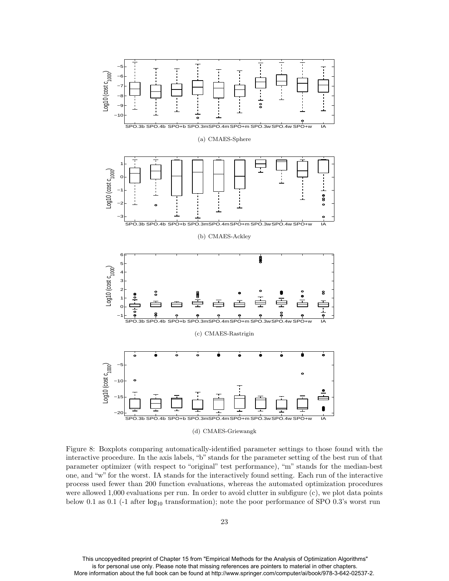

<span id="page-22-1"></span><span id="page-22-0"></span>Figure 8: Boxplots comparing automatically-identified parameter settings to those found with the interactive procedure. In the axis labels, "b" stands for the parameter setting of the best run of that parameter optimizer (with respect to "original" test performance), "m" stands for the median-best one, and "w" for the worst. IA stands for the interactively found setting. Each run of the interactive process used fewer than 200 function evaluations, whereas the automated optimization procedures were allowed 1,000 evaluations per run. In order to avoid clutter in subfigure (c), we plot data points below 0.1 as 0.1 (-1 after  $log_{10}$  transformation); note the poor performance of SPO 0.3's worst run

This uncopyedited preprint of Chapter 15 from "Empirical Methods for the Analysis of Optimization Algorithms" is for personal use only. Please note that missing references are pointers to material in other chapters. More information about the full book can be found at http://www.springer.com/computer/ai/book/978-3-642-02537-2.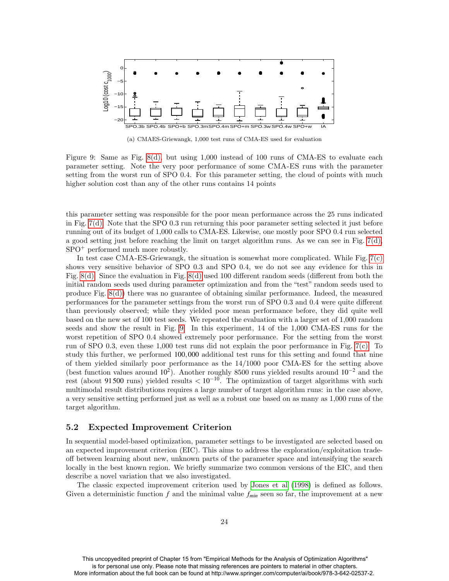

<span id="page-23-1"></span>(a) CMAES-Griewangk, 1,000 test runs of CMA-ES used for evaluation

Figure 9: Same as Fig.  $8(d)$ , but using 1,000 instead of 100 runs of CMA-ES to evaluate each parameter setting. Note the very poor performance of some CMA-ES runs with the parameter setting from the worst run of SPO 0.4. For this parameter setting, the cloud of points with much higher solution cost than any of the other runs contains 14 points

this parameter setting was responsible for the poor mean performance across the 25 runs indicated in Fig. [7\(d\).](#page-21-1) Note that the SPO 0.3 run returning this poor parameter setting selected it just before running out of its budget of 1,000 calls to CMA-ES. Likewise, one mostly poor SPO 0.4 run selected a good setting just before reaching the limit on target algorithm runs. As we can see in Fig. [7\(d\),](#page-21-1) SPO<sup>+</sup> performed much more robustly.

In test case CMA-ES-Griewangk, the situation is somewhat more complicated. While Fig. [7\(c\)](#page-21-2) shows very sensitive behavior of SPO 0.3 and SPO 0.4, we do not see any evidence for this in Fig. [8\(d\).](#page-22-1) Since the evaluation in Fig. [8\(d\)](#page-22-1) used 100 different random seeds (different from both the initial random seeds used during parameter optimization and from the "test" random seeds used to produce Fig. [8\(d\)\)](#page-22-1) there was no guarantee of obtaining similar performance. Indeed, the measured performances for the parameter settings from the worst run of SPO 0.3 and 0.4 were quite different than previously observed; while they yielded poor mean performance before, they did quite well based on the new set of 100 test seeds. We repeated the evaluation with a larger set of 1,000 random seeds and show the result in Fig. [9.](#page-23-1) In this experiment, 14 of the 1,000 CMA-ES runs for the worst repetition of SPO 0.4 showed extremely poor performance. For the setting from the worst run of SPO 0.3, even these 1,000 test runs did not explain the poor performance in Fig. [7\(c\).](#page-21-2) To study this further, we performed 100,000 additional test runs for this setting and found that nine of them yielded similarly poor performance as the 14/1000 poor CMA-ES for the setting above (best function values around  $10^2$ ). Another roughly 8500 runs yielded results around  $10^{-2}$  and the rest (about 91500 runs) yielded results  $\langle 10^{-10}$ . The optimization of target algorithms with such multimodal result distributions requires a large number of target algorithm runs: in the case above, a very sensitive setting performed just as well as a robust one based on as many as 1,000 runs of the target algorithm.

## <span id="page-23-0"></span>5.2 Expected Improvement Criterion

In sequential model-based optimization, parameter settings to be investigated are selected based on an expected improvement criterion (EIC). This aims to address the exploration/exploitation tradeoff between learning about new, unknown parts of the parameter space and intensifying the search locally in the best known region. We briefly summarize two common versions of the EIC, and then describe a novel variation that we also investigated.

The classic expected improvement criterion used by [Jones et al](#page-42-4) [\(1998\)](#page-42-4) is defined as follows. Given a deterministic function  $f$  and the minimal value  $f_{min}$  seen so far, the improvement at a new

This uncopyedited preprint of Chapter 15 from "Empirical Methods for the Analysis of Optimization Algorithms" is for personal use only. Please note that missing references are pointers to material in other chapters. More information about the full book can be found at http://www.springer.com/computer/ai/book/978-3-642-02537-2.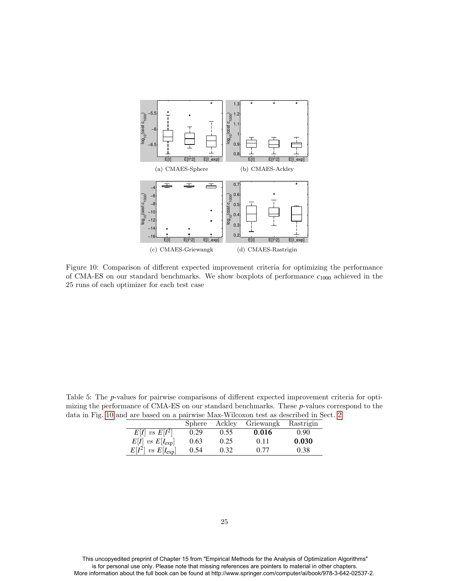

<span id="page-24-0"></span>Figure 10: Comparison of different expected improvement criteria for optimizing the performance of CMA-ES on our standard benchmarks. We show boxplots of performance *c*<sup>1000</sup> achieved in the 25 runs of each optimizer for each test case

<span id="page-24-1"></span>Table 5: The *p*-values for pairwise comparisons of different expected improvement criteria for optimizing the performance of CMA-ES on our standard benchmarks. These *p*-values correspond to the data in Fig. [10](#page-24-0) and are based on a pairwise Max-Wilcoxon test as described in Sect. [2](#page-3-0)

|                          | <b>Sphere</b> | Ackley | Griewangk | Rastrigin |
|--------------------------|---------------|--------|-----------|-----------|
| $E[I]$ vs $E[I^2]$       | 0.29          | 0.55   | 0.016     | 0.90      |
| $E[I]$ vs $E[I_{exp}]$   | 0.63          | 0.25   | 0.11      | 0.030     |
| $E[I^2]$ vs $E[I_{exp}]$ | 0.54          | 0.32   | 0.77      | 0.38      |

This uncopyedited preprint of Chapter 15 from "Empirical Methods for the Analysis of Optimization Algorithms" is for personal use only. Please note that missing references are pointers to material in other chapters. More information about the full book can be found at http://www.springer.com/computer/ai/book/978-3-642-02537-2.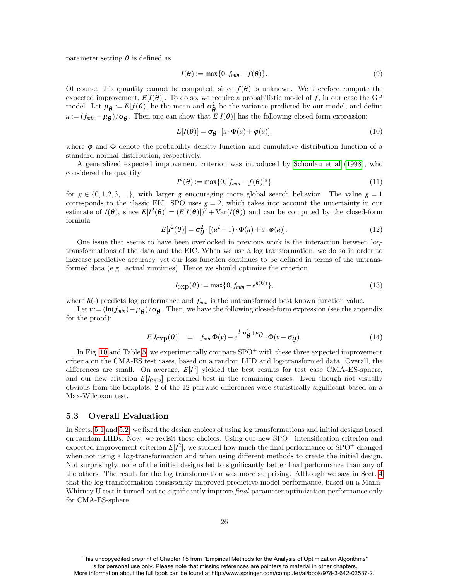parameter setting  $\theta$  is defined as

$$
I(\boldsymbol{\theta}) := \max\{0, f_{\min} - f(\boldsymbol{\theta})\}.
$$
\n(9)

Of course, this quantity cannot be computed, since  $f(\theta)$  is unknown. We therefore compute the expected improvement,  $E[I(\theta)]$ . To do so, we require a probabilistic model of f, in our case the GP model. Let  $\mu_{\theta} := E[f(\theta)]$  be the mean and  $\sigma_{\theta}^2$  be the variance predicted by our model, and define  $u := (f_{min} - \mu_{\theta})/\sigma_{\theta}$ . Then one can show that  $E[I(\theta)]$  has the following closed-form expression:

$$
E[I(\theta)] = \sigma_{\theta} \cdot [u \cdot \Phi(u) + \varphi(u)], \qquad (10)
$$

where  $\varphi$  and  $\Phi$  denote the probability density function and cumulative distribution function of a standard normal distribution, respectively.

A generalized expected improvement criterion was introduced by [Schonlau et al](#page-43-5) [\(1998\)](#page-43-5), who considered the quantity

$$
I^g(\boldsymbol{\theta}) := \max\{0, [f_{min} - f(\boldsymbol{\theta})]^g\}
$$
\n(11)

for  $g \in \{0, 1, 2, 3, \ldots\}$ , with larger *g* encouraging more global search behavior. The value  $g = 1$ corresponds to the classic EIC. SPO uses  $g = 2$ , which takes into account the uncertainty in our estimate of  $I(\theta)$ , since  $E[I^2(\theta)] = (E[I(\theta)])^2 + Var(I(\theta))$  and can be computed by the closed-form formula

$$
E[I^{2}(\theta)] = \sigma_{\theta}^{2} \cdot [(u^{2} + 1) \cdot \Phi(u) + u \cdot \varphi(u)].
$$
\n(12)

One issue that seems to have been overlooked in previous work is the interaction between logtransformations of the data and the EIC. When we use a log transformation, we do so in order to increase predictive accuracy, yet our loss function continues to be defined in terms of the untransformed data (e.g., actual runtimes). Hence we should optimize the criterion

$$
I_{\exp}(\theta) := \max\{0, f_{\min} - e^{h(\theta)}\},\tag{13}
$$

where  $h(\cdot)$  predicts log performance and  $f_{min}$  is the untransformed best known function value.

Let  $v := (\ln(f_{min}) - \mu_{\theta})/\sigma_{\theta}$ . Then, we have the following closed-form expression (see the appendix for the proof):

$$
E[I_{\exp}(\theta)] = f_{\min} \Phi(\nu) - e^{\frac{1}{2} \cdot \sigma_{\theta}^2 + \mu} \theta \cdot \Phi(\nu - \sigma_{\theta}). \tag{14}
$$

In Fig. [10](#page-24-0) and Table [5,](#page-24-1) we experimentally compare  $SPO^+$  with these three expected improvement criteria on the CMA-ES test cases, based on a random LHD and log-transformed data. Overall, the differences are small. On average,  $E[I^2]$  yielded the best results for test case CMA-ES-sphere, and our new criterion  $E[I_{\rm exp}]$  performed best in the remaining cases. Even though not visually obvious from the boxplots, 2 of the 12 pairwise differences were statistically significant based on a Max-Wilcoxon test.

### <span id="page-25-0"></span>5.3 Overall Evaluation

In Sects. [5.1](#page-17-0) and [5.2,](#page-23-0) we fixed the design choices of using log transformations and initial designs based on random LHDs. Now, we revisit these choices. Using our new  $SPO<sup>+</sup>$  intensification criterion and expected improvement criterion  $E[I^2]$ , we studied how much the final performance of  $SPO^+$  changed when not using a log-transformation and when using different methods to create the initial design. Not surprisingly, none of the initial designs led to significantly better final performance than any of the others. The result for the log transformation was more surprising. Although we saw in Sect. [4](#page-14-0) that the log transformation consistently improved predictive model performance, based on a Mann-Whitney U test it turned out to significantly improve *final* parameter optimization performance only for CMA-ES-sphere.

This uncopyedited preprint of Chapter 15 from "Empirical Methods for the Analysis of Optimization Algorithms" is for personal use only. Please note that missing references are pointers to material in other chapters. More information about the full book can be found at http://www.springer.com/computer/ai/book/978-3-642-02537-2.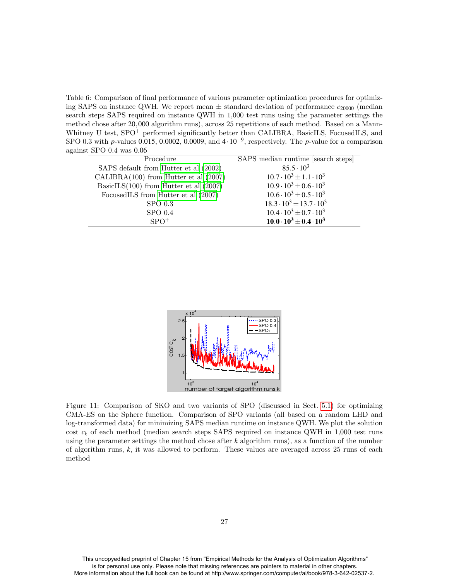<span id="page-26-0"></span>Table 6: Comparison of final performance of various parameter optimization procedures for optimizing SAPS on instance QWH. We report mean  $\pm$  standard deviation of performance  $c_{20000}$  (median search steps SAPS required on instance QWH in 1,000 test runs using the parameter settings the method chose after 20,000 algorithm runs), across 25 repetitions of each method. Based on a Mann-Whitney U test, SPO<sup>+</sup> performed significantly better than CALIBRA, BasicILS, FocusedILS, and SPO 0.3 with *p*-values 0.015, 0.0002, 0.0009, and 4 · 10<sup>-9</sup>, respectively. The *p*-value for a comparison against SPO 0.4 was 0.06

| Procedure                                   | SAPS median runtime [search steps]    |
|---------------------------------------------|---------------------------------------|
| SAPS default from Hutter et al (2002)       | $85.5 \cdot 10^3$                     |
| $CALIBRA(100)$ from Hutter et al $(2007)$   | $10.7 \cdot 10^3 \pm 1.1 \cdot 10^3$  |
| BasicILS $(100)$ from Hutter et al $(2007)$ | $10.9 \cdot 10^3 \pm 0.6 \cdot 10^3$  |
| FocusedILS from Hutter et al (2007)         | $10.6 \cdot 10^3 \pm 0.5 \cdot 10^3$  |
| $SPO$ 0.3                                   | $18.3 \cdot 10^3 \pm 13.7 \cdot 10^3$ |
| SPO 0.4                                     | $10.4 \cdot 10^3 \pm 0.7 \cdot 10^3$  |
| $SPO^+$                                     | $10.0 \cdot 10^3 \pm 0.4 \cdot 10^3$  |



<span id="page-26-1"></span>Figure 11: Comparison of SKO and two variants of SPO (discussed in Sect. [5.1\)](#page-17-0) for optimizing CMA-ES on the Sphere function. Comparison of SPO variants (all based on a random LHD and log-transformed data) for minimizing SAPS median runtime on instance QWH. We plot the solution cost  $c_k$  of each method (median search steps SAPS required on instance QWH in 1,000 test runs using the parameter settings the method chose after *k* algorithm runs), as a function of the number of algorithm runs, *k*, it was allowed to perform. These values are averaged across 25 runs of each method

This uncopyedited preprint of Chapter 15 from "Empirical Methods for the Analysis of Optimization Algorithms" is for personal use only. Please note that missing references are pointers to material in other chapters. More information about the full book can be found at http://www.springer.com/computer/ai/book/978-3-642-02537-2.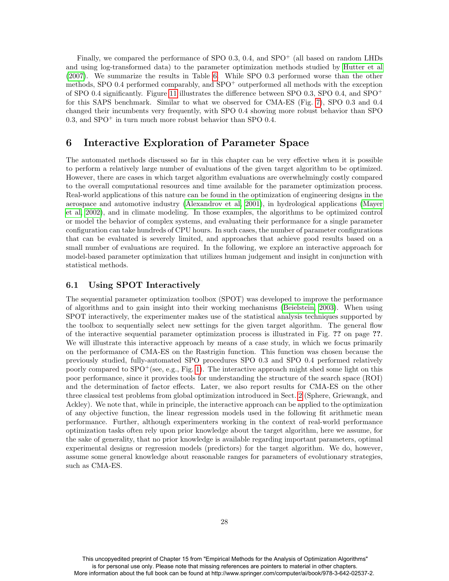Finally, we compared the performance of SPO 0.3, 0.4, and  $SPO^+$  (all based on random LHDs and using log-transformed data) to the parameter optimization methods studied by [Hutter et al](#page-42-1) [\(2007\)](#page-42-1). We summarize the results in Table [6.](#page-26-0) While SPO 0.3 performed worse than the other methods, SPO  $0.4$  performed comparably, and SPO<sup>+</sup> outperformed all methods with the exception of SPO 0.4 significantly. Figure [11](#page-26-1) illustrates the difference between SPO 0.3, SPO 0.4, and SPO<sup>+</sup> for this SAPS benchmark. Similar to what we observed for CMA-ES (Fig. [7\)](#page-21-0), SPO 0.3 and 0.4 changed their incumbents very frequently, with SPO 0.4 showing more robust behavior than SPO 0.3, and  $SPO^+$  in turn much more robust behavior than SPO 0.4.

## <span id="page-27-0"></span>6 Interactive Exploration of Parameter Space

The automated methods discussed so far in this chapter can be very effective when it is possible to perform a relatively large number of evaluations of the given target algorithm to be optimized. However, there are cases in which target algorithm evaluations are overwhelmingly costly compared to the overall computational resources and time available for the parameter optimization process. Real-world applications of this nature can be found in the optimization of engineering designs in the aerospace and automotive industry [\(Alexandrov et al, 2001\)](#page-40-8), in hydrological applications [\(Mayer](#page-42-17) [et al, 2002\)](#page-42-17), and in climate modeling. In those examples, the algorithms to be optimized control or model the behavior of complex systems, and evaluating their performance for a single parameter configuration can take hundreds of CPU hours. In such cases, the number of parameter configurations that can be evaluated is severely limited, and approaches that achieve good results based on a small number of evaluations are required. In the following, we explore an interactive approach for model-based parameter optimization that utilizes human judgement and insight in conjunction with statistical methods.

## 6.1 Using SPOT Interactively

The sequential parameter optimization toolbox (SPOT) was developed to improve the performance of algorithms and to gain insight into their working mechanisms [\(Beielstein, 2003\)](#page-41-3). When using SPOT interactively, the experimenter makes use of the statistical analysis techniques supported by the toolbox to sequentially select new settings for the given target algorithm. The general flow of the interactive sequential parameter optimization process is illustrated in Fig. ?? on page ??. We will illustrate this interactive approach by means of a case study, in which we focus primarily on the performance of CMA-ES on the Rastrigin function. This function was chosen because the previously studied, fully-automated SPO procedures SPO 0.3 and SPO 0.4 performed relatively poorly compared to  $SPO^+($ see, e.g., Fig. [1\)](#page-12-0). The interactive approach might shed some light on this poor performance, since it provides tools for understanding the structure of the search space (ROI) and the determination of factor effects. Later, we also report results for CMA-ES on the other three classical test problems from global optimization introduced in Sect. [2](#page-3-0) (Sphere, Griewangk, and Ackley). We note that, while in principle, the interactive approach can be applied to the optimization of any objective function, the linear regression models used in the following fit arithmetic mean performance. Further, although experimenters working in the context of real-world performance optimization tasks often rely upon prior knowledge about the target algorithm, here we assume, for the sake of generality, that no prior knowledge is available regarding important parameters, optimal experimental designs or regression models (predictors) for the target algorithm. We do, however, assume some general knowledge about reasonable ranges for parameters of evolutionary strategies, such as CMA-ES.

This uncopyedited preprint of Chapter 15 from "Empirical Methods for the Analysis of Optimization Algorithms" is for personal use only. Please note that missing references are pointers to material in other chapters. More information about the full book can be found at http://www.springer.com/computer/ai/book/978-3-642-02537-2.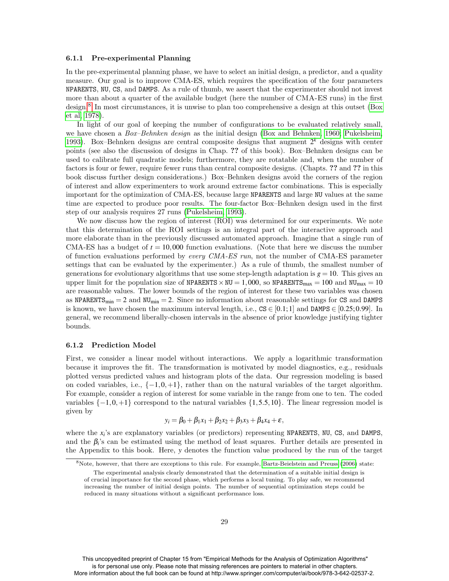#### <span id="page-28-1"></span>6.1.1 Pre-experimental Planning

In the pre-experimental planning phase, we have to select an initial design, a predictor, and a quality measure. Our goal is to improve CMA-ES, which requires the specification of the four parameters NPARENTS, NU, CS, and DAMPS. As a rule of thumb, we assert that the experimenter should not invest more than about a quarter of the available budget (here the number of CMA-ES runs) in the first design.<sup>[8](#page-28-0)</sup> In most circumstances, it is unwise to plan too comprehensive a design at this outset [\(Box](#page-41-12) [et al, 1978\)](#page-41-12).

In light of our goal of keeping the number of configurations to be evaluated relatively small, we have chosen a Box–Behnken design as the initial design [\(Box and Behnken, 1960;](#page-41-13) [Pukelsheim,](#page-42-18) [1993\)](#page-42-18). Box–Behnken designs are central composite designs that augment  $2<sup>k</sup>$  designs with center points (see also the discussion of designs in Chap. ?? of this book). Box–Behnken designs can be used to calibrate full quadratic models; furthermore, they are rotatable and, when the number of factors is four or fewer, require fewer runs than central composite designs. (Chapts. ?? and ?? in this book discuss further design considerations.) Box–Behnken designs avoid the corners of the region of interest and allow experimenters to work around extreme factor combinations. This is especially important for the optimization of CMA-ES, because large NPARENTS and large NU values at the same time are expected to produce poor results. The four-factor Box–Behnken design used in the first step of our analysis requires 27 runs [\(Pukelsheim, 1993\)](#page-42-18).

We now discuss how the region of interest (ROI) was determined for our experiments. We note that this determination of the ROI settings is an integral part of the interactive approach and more elaborate than in the previously discussed automated approach. Imagine that a single run of CMA-ES has a budget of  $t = 10,000$  function evaluations. (Note that here we discuss the number of function evaluations performed by every CMA-ES run, not the number of CMA-ES parameter settings that can be evaluated by the experimenter.) As a rule of thumb, the smallest number of generations for evolutionary algorithms that use some step-length adaptation is  $g = 10$ . This gives an upper limit for the population size of NPARENTS  $\times$  NU = 1,000, so NPARENTS<sub>max</sub> = 100 and NU<sub>max</sub> = 10 are reasonable values. The lower bounds of the region of interest for these two variables was chosen as  $NPARENTS_{min} = 2$  and  $NU_{min} = 2$ . Since no information about reasonable settings for CS and DAMPS is known, we have chosen the maximum interval length, i.e.,  $CS \in [0.1; 1]$  and DAMPS  $\in [0.25; 0.99]$ . In general, we recommend liberally-chosen intervals in the absence of prior knowledge justifying tighter bounds.

#### <span id="page-28-2"></span>6.1.2 Prediction Model

First, we consider a linear model without interactions. We apply a logarithmic transformation because it improves the fit. The transformation is motivated by model diagnostics, e.g., residuals plotted versus predicted values and histogram plots of the data. Our regression modeling is based on coded variables, i.e.,  $\{-1,0,+1\}$ , rather than on the natural variables of the target algorithm. For example, consider a region of interest for some variable in the range from one to ten. The coded variables  $\{-1,0,+1\}$  correspond to the natural variables  $\{1,5.5,10\}$ . The linear regression model is given by

$$
y_i = \beta_0 + \beta_1 x_1 + \beta_2 x_2 + \beta_3 x_3 + \beta_4 x_4 + \varepsilon,
$$

where the  $x_i$ 's are explanatory variables (or predictors) representing NPARENTS, NU, CS, and DAMPS, and the  $\beta_i$ 's can be estimated using the method of least squares. Further details are presented in the Appendix to this book. Here, *y* denotes the function value produced by the run of the target

<span id="page-28-0"></span><sup>8</sup>Note, however, that there are exceptions to this rule. For example, [Bartz-Beielstein and Preuss](#page-40-6) [\(2006\)](#page-40-6) state:

The experimental analysis clearly demonstrated that the determination of a suitable initial design is of crucial importance for the second phase, which performs a local tuning. To play safe, we recommend increasing the number of initial design points. The number of sequential optimization steps could be reduced in many situations without a significant performance loss.

This uncopyedited preprint of Chapter 15 from "Empirical Methods for the Analysis of Optimization Algorithms" is for personal use only. Please note that missing references are pointers to material in other chapters. More information about the full book can be found at http://www.springer.com/computer/ai/book/978-3-642-02537-2.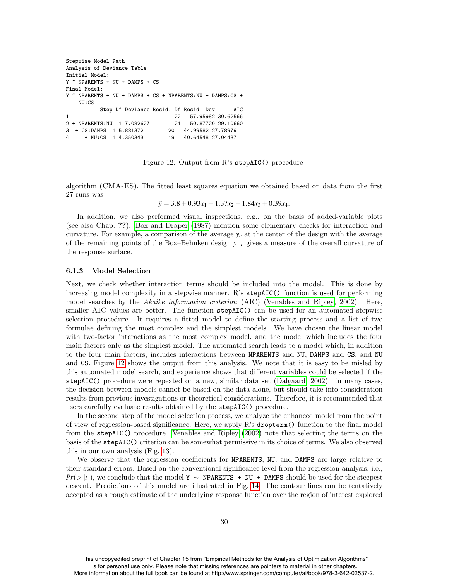```
Stepwise Model Path
Analysis of Deviance Table
Initial Model:
Y ~ NPARENTS + NU + DAMPS + CS
Final Model:
Y ~ NPARENTS + NU + DAMPS + CS + NPARENTS:NU + DAMPS:CS +
   NU:CS
         Step Df Deviance Resid. Df Resid. Dev AIC<br>22 57.95982 30.62566
1 22 57.95982 30.62566
2 + NPARENTS:NU 1 7.082627 21 50.87720 29.10660
3 + CS:DAMPS 1 5.881372 20 44.99582 27.78979
4 + NU:CS 1 4.350343 19
```
<span id="page-29-0"></span>Figure 12: Output from R's stepAIC() procedure

algorithm (CMA-ES). The fitted least squares equation we obtained based on data from the first 27 runs was

 $\hat{y} = 3.8 + 0.93x_1 + 1.37x_2 - 1.84x_3 + 0.39x_4$ .

In addition, we also performed visual inspections, e.g., on the basis of added-variable plots (see also Chap. ??). [Box and Draper](#page-41-14) [\(1987\)](#page-41-14) mention some elementary checks for interaction and curvature. For example, a comparison of the average  $y_c$  at the center of the design with the average of the remaining points of the Box–Behnken design *y*−*<sup>c</sup>* gives a measure of the overall curvature of the response surface.

### 6.1.3 Model Selection

Next, we check whether interaction terms should be included into the model. This is done by increasing model complexity in a stepwise manner. R's stepAIC() function is used for performing model searches by the *Akaike information criterion* (AIC) [\(Venables and Ripley, 2002\)](#page-43-7). Here, smaller AIC values are better. The function stepAIC() can be used for an automated stepwise selection procedure. It requires a fitted model to define the starting process and a list of two formulae defining the most complex and the simplest models. We have chosen the linear model with two-factor interactions as the most complex model, and the model which includes the four main factors only as the simplest model. The automated search leads to a model which, in addition to the four main factors, includes interactions between NPARENTS and NU, DAMPS and CS, and NU and CS. Figure [12](#page-29-0) shows the output from this analysis. We note that it is easy to be misled by this automated model search, and experience shows that different variables could be selected if the stepAIC() procedure were repeated on a new, similar data set [\(Dalgaard, 2002\)](#page-41-15). In many cases, the decision between models cannot be based on the data alone, but should take into consideration results from previous investigations or theoretical considerations. Therefore, it is recommended that users carefully evaluate results obtained by the stepAIC() procedure.

In the second step of the model selection process, we analyze the enhanced model from the point of view of regression-based significance. Here, we apply R's dropterm() function to the final model from the stepAIC() procedure. [Venables and Ripley](#page-43-7) [\(2002\)](#page-43-7) note that selecting the terms on the basis of the stepAIC() criterion can be somewhat permissive in its choice of terms. We also observed this in our own analysis (Fig. [13\)](#page-30-0).

We observe that the regression coefficients for NPARENTS, NU, and DAMPS are large relative to their standard errors. Based on the conventional significance level from the regression analysis, i.e.,  $Pr(>|t|)$ , we conclude that the model Y ~ NPARENTS + NU + DAMPS should be used for the steepest descent. Predictions of this model are illustrated in Fig. [14.](#page-31-0) The contour lines can be tentatively accepted as a rough estimate of the underlying response function over the region of interest explored

This uncopyedited preprint of Chapter 15 from "Empirical Methods for the Analysis of Optimization Algorithms" is for personal use only. Please note that missing references are pointers to material in other chapters. More information about the full book can be found at http://www.springer.com/computer/ai/book/978-3-642-02537-2.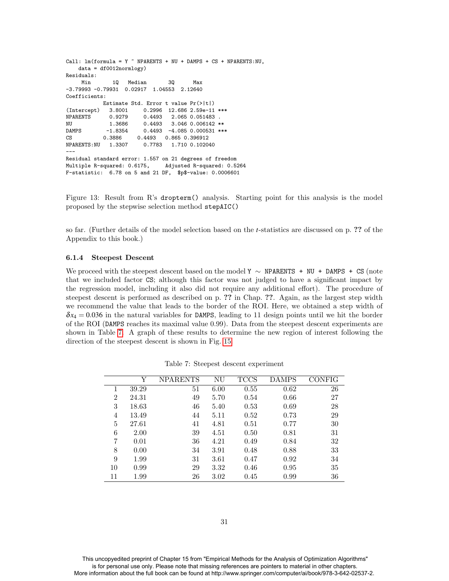```
Call: lm(formula = Y ~ mPARENTS + NU + DAMPS + CS + NPARENTS:NU,data = df0012normlogy)
Residuals:
     Min 1Q Median 3Q Max
-3.79993 -0.79931 0.02917 1.04553 2.12640
Coefficients:
            Estimate Std. Error t value Pr(>|t|)
(Intercept) 3.8001 0.2996 12.686 2.59e-11 ***<br>NPARENTS 0.9279 0.4493 2.065 0.051483.
                                 2.065 0.051483
NU 1.3686 0.4493 3.046 0.006142 **
DAMPS -1.8354 0.4493 -4.085 0.000531 ***<br>CS 0.3886 0.4493 0.865 0.396912
                       CS 0.3886 0.4493 0.865 0.396912
NPARENTS:NU 1.3307 0.7783 1.710 0.102040
---
Residual standard error: 1.557 on 21 degrees of freedom
Multiple R-squared: 0.6175, Adjusted R-squared: 0.5264
F-statistic: 6.78 on 5 and 21 DF, $p$-value: 0.0006601
```
<span id="page-30-0"></span>Figure 13: Result from R's dropterm() analysis. Starting point for this analysis is the model proposed by the stepwise selection method stepAIC()

so far. (Further details of the model selection based on the *t*-statistics are discussed on p. ?? of the Appendix to this book.)

### 6.1.4 Steepest Descent

We proceed with the steepest descent based on the model Y  $\sim$  NPARENTS + NU + DAMPS + CS (note that we included factor CS; although this factor was not judged to have a significant impact by the regression model, including it also did not require any additional effort). The procedure of steepest descent is performed as described on p. ?? in Chap. ??. Again, as the largest step width we recommend the value that leads to the border of the ROI. Here, we obtained a step width of  $\delta x_4 = 0.036$  in the natural variables for DAMPS, leading to 11 design points until we hit the border of the ROI (DAMPS reaches its maximal value 0.99). Data from the steepest descent experiments are shown in Table [7.](#page-30-1) A graph of these results to determine the new region of interest following the direction of the steepest descent is shown in Fig. [15.](#page-32-0)

|                | Y     | <b>NPARENTS</b> | NU   | TCCS | DAMPS | <b>CONFIG</b> |
|----------------|-------|-----------------|------|------|-------|---------------|
| 1              | 39.29 | 51              | 6.00 | 0.55 | 0.62  | 26            |
| $\overline{2}$ | 24.31 | 49              | 5.70 | 0.54 | 0.66  | 27            |
| 3              | 18.63 | 46              | 5.40 | 0.53 | 0.69  | 28            |
| 4              | 13.49 | 44              | 5.11 | 0.52 | 0.73  | 29            |
| 5              | 27.61 | 41              | 4.81 | 0.51 | 0.77  | 30            |
| 6              | 2.00  | 39              | 4.51 | 0.50 | 0.81  | 31            |
| 7              | 0.01  | 36              | 4.21 | 0.49 | 0.84  | 32            |
| 8              | 0.00  | 34              | 3.91 | 0.48 | 0.88  | 33            |
| 9              | 1.99  | 31              | 3.61 | 0.47 | 0.92  | 34            |
| 10             | 0.99  | 29              | 3.32 | 0.46 | 0.95  | 35            |
| 11             | 1.99  | 26              | 3.02 | 0.45 | 0.99  | 36            |

<span id="page-30-1"></span>Table 7: Steepest descent experiment

This uncopyedited preprint of Chapter 15 from "Empirical Methods for the Analysis of Optimization Algorithms" is for personal use only. Please note that missing references are pointers to material in other chapters. More information about the full book can be found at http://www.springer.com/computer/ai/book/978-3-642-02537-2.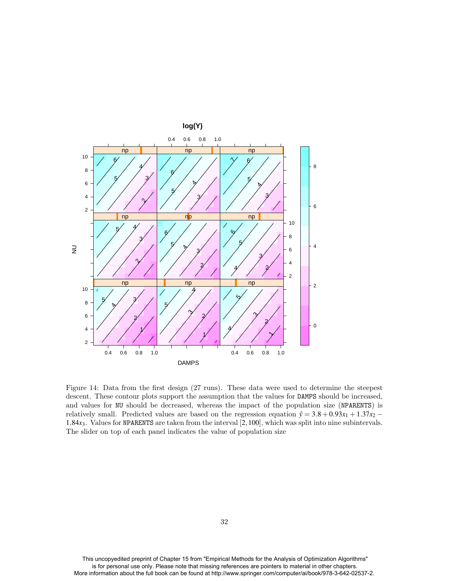

<span id="page-31-0"></span>Figure 14: Data from the first design (27 runs). These data were used to determine the steepest descent. These contour plots support the assumption that the values for DAMPS should be increased, and values for NU should be decreased, whereas the impact of the population size (NPARENTS) is relatively small. Predicted values are based on the regression equation  $\hat{y} = 3.8 + 0.93x_1 + 1.37x_2 -$ .84*x*3. Values for NPARENTS are taken from the interval [2,100], which was split into nine subintervals. The slider on top of each panel indicates the value of population size

This uncopyedited preprint of Chapter 15 from "Empirical Methods for the Analysis of Optimization Algorithms" is for personal use only. Please note that missing references are pointers to material in other chapters. More information about the full book can be found at http://www.springer.com/computer/ai/book/978-3-642-02537-2.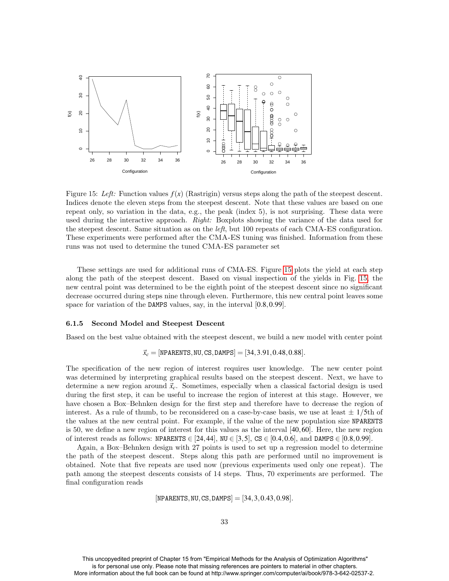

<span id="page-32-0"></span>Figure 15: Left: Function values  $f(x)$  (Rastrigin) versus steps along the path of the steepest descent. Indices denote the eleven steps from the steepest descent. Note that these values are based on one repeat only, so variation in the data, e.g., the peak (index 5), is not surprising. These data were used during the interactive approach. Right: Boxplots showing the variance of the data used for the steepest descent. Same situation as on the *left*, but 100 repeats of each CMA-ES configuration. These experiments were performed after the CMA-ES tuning was finished. Information from these runs was not used to determine the tuned CMA-ES parameter set

These settings are used for additional runs of CMA-ES. Figure [15](#page-32-0) plots the yield at each step along the path of the steepest descent. Based on visual inspection of the yields in Fig. [15,](#page-32-0) the new central point was determined to be the eighth point of the steepest descent since no significant decrease occurred during steps nine through eleven. Furthermore, this new central point leaves some space for variation of the DAMPS values, say, in the interval  $[0.8, 0.99]$ .

#### 6.1.5 Second Model and Steepest Descent

Based on the best value obtained with the steepest descent, we build a new model with center point

$$
\vec{x}_c = [\text{NPARENTS}, \text{NU}, \text{CS}, \text{DAMPS}] = [34, 3.91, 0.48, 0.88].
$$

The specification of the new region of interest requires user knowledge. The new center point was determined by interpreting graphical results based on the steepest descent. Next, we have to determine a new region around  $\vec{x}_c$ . Sometimes, especially when a classical factorial design is used during the first step, it can be useful to increase the region of interest at this stage. However, we have chosen a Box–Behnken design for the first step and therefore have to decrease the region of interest. As a rule of thumb, to be reconsidered on a case-by-case basis, we use at least  $\pm$  1/5th of the values at the new central point. For example, if the value of the new population size NPARENTS is 50, we define a new region of interest for this values as the interval [40,60]. Here, the new region of interest reads as follows: NPARENTS  $\in$  [24,44], NU  $\in$  [3,5], CS  $\in$  [0.4,0.6], and DAMPS  $\in$  [0.8,0.99].

Again, a Box–Behnken design with 27 points is used to set up a regression model to determine the path of the steepest descent. Steps along this path are performed until no improvement is obtained. Note that five repeats are used now (previous experiments used only one repeat). The path among the steepest descents consists of 14 steps. Thus, 70 experiments are performed. The final configuration reads

 $[NPARENTS, NU, CS, DAMPS] = [34, 3, 0.43, 0.98].$ 

This uncopyedited preprint of Chapter 15 from "Empirical Methods for the Analysis of Optimization Algorithms" is for personal use only. Please note that missing references are pointers to material in other chapters. More information about the full book can be found at http://www.springer.com/computer/ai/book/978-3-642-02537-2.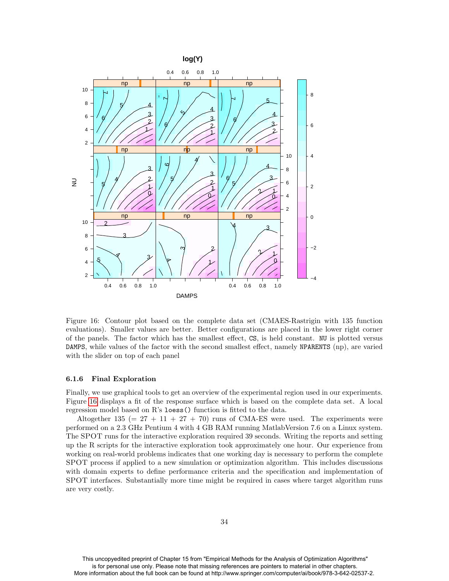**log(Y)**



<span id="page-33-0"></span>Figure 16: Contour plot based on the complete data set (CMAES-Rastrigin with 135 function evaluations). Smaller values are better. Better configurations are placed in the lower right corner of the panels. The factor which has the smallest effect, CS, is held constant. NU is plotted versus DAMPS, while values of the factor with the second smallest effect, namely NPARENTS (np), are varied with the slider on top of each panel

#### 6.1.6 Final Exploration

Finally, we use graphical tools to get an overview of the experimental region used in our experiments. Figure [16](#page-33-0) displays a fit of the response surface which is based on the complete data set. A local regression model based on R's loess() function is fitted to the data.

Altogether 135 ( $= 27 + 11 + 27 + 70$ ) runs of CMA-ES were used. The experiments were performed on a 2.3 GHz Pentium 4 with 4 GB RAM running MatlabVersion 7.6 on a Linux system. The SPOT runs for the interactive exploration required 39 seconds. Writing the reports and setting up the R scripts for the interactive exploration took approximately one hour. Our experience from working on real-world problems indicates that one working day is necessary to perform the complete SPOT process if applied to a new simulation or optimization algorithm. This includes discussions with domain experts to define performance criteria and the specification and implementation of SPOT interfaces. Substantially more time might be required in cases where target algorithm runs are very costly.

This uncopyedited preprint of Chapter 15 from "Empirical Methods for the Analysis of Optimization Algorithms" is for personal use only. Please note that missing references are pointers to material in other chapters. More information about the full book can be found at http://www.springer.com/computer/ai/book/978-3-642-02537-2.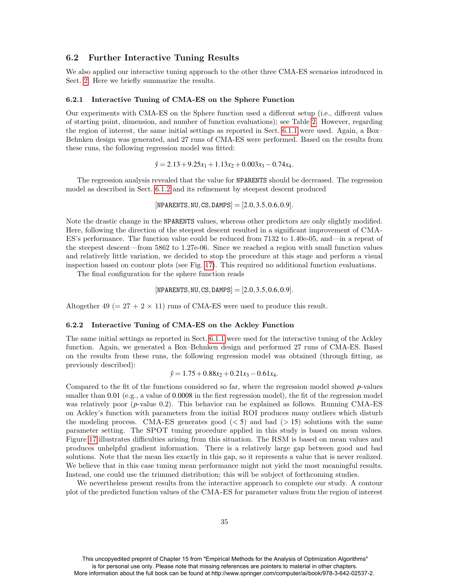### 6.2 Further Interactive Tuning Results

We also applied our interactive tuning approach to the other three CMA-ES scenarios introduced in Sect. [2.](#page-3-0) Here we briefly summarize the results.

#### 6.2.1 Interactive Tuning of CMA-ES on the Sphere Function

Our experiments with CMA-ES on the Sphere function used a different setup (i.e., different values of starting point, dimension, and number of function evaluations); see Table [2.](#page-4-1) However, regarding the region of interest, the same initial settings as reported in Sect. [6.1.1](#page-28-1) were used. Again, a Box– Behnken design was generated, and 27 runs of CMA-ES were performed. Based on the results from these runs, the following regression model was fitted:

$$
\hat{y} = 2.13 + 9.25x_1 + 1.13x_2 + 0.003x_3 - 0.74x_4.
$$

The regression analysis revealed that the value for NPARENTS should be decreased. The regression model as described in Sect. [6.1.2](#page-28-2) and its refinement by steepest descent produced

$$
[NPARENTS, NU, CS, DAMPS] = [2.0, 3.5, 0.6, 0.9].
$$

Note the drastic change in the NPARENTS values, whereas other predictors are only slightly modified. Here, following the direction of the steepest descent resulted in a significant improvement of CMA-ES's performance. The function value could be reduced from 7132 to 1.40e-05, and—in a repeat of the steepest descent—from 5862 to 1.27e-06. Since we reached a region with small function values and relatively little variation, we decided to stop the procedure at this stage and perform a visual inspection based on contour plots (see Fig. [17\)](#page-35-0). This required no additional function evaluations.

The final configuration for the sphere function reads

 $[NPARENTS, NU, CS, DAMPS] = [2.0, 3.5, 0.6, 0.9].$ 

Altogether 49 (=  $27 + 2 \times 11$ ) runs of CMA-ES were used to produce this result.

#### 6.2.2 Interactive Tuning of CMA-ES on the Ackley Function

The same initial settings as reported in Sect. [6.1.1](#page-28-1) were used for the interactive tuning of the Ackley function. Again, we generated a Box–Behnken design and performed 27 runs of CMA-ES. Based on the results from these runs, the following regression model was obtained (through fitting, as previously described):

$$
\hat{y} = 1.75 + 0.88x_2 + 0.21x_3 - 0.61x_4.
$$

Compared to the fit of the functions considered so far, where the regression model showed *p*-values smaller than 0.01 (e.g., a value of 0.0008 in the first regression model), the fit of the regression model was relatively poor (*p*-value 0.2). This behavior can be explained as follows. Running CMA-ES on Ackley's function with parameters from the initial ROI produces many outliers which disturb the modeling process. CMA-ES generates good  $(< 5$ ) and bad  $(> 15)$  solutions with the same parameter setting. The SPOT tuning procedure applied in this study is based on mean values. Figure [17](#page-35-0) illustrates difficulties arising from this situation. The RSM is based on mean values and produces unhelpful gradient information. There is a relatively large gap between good and bad solutions. Note that the mean lies exactly in this gap, so it represents a value that is never realized. We believe that in this case tuning mean performance might not yield the most meaningful results. Instead, one could use the trimmed distribution; this will be subject of forthcoming studies.

We nevertheless present results from the interactive approach to complete our study. A contour plot of the predicted function values of the CMA-ES for parameter values from the region of interest

This uncopyedited preprint of Chapter 15 from "Empirical Methods for the Analysis of Optimization Algorithms" is for personal use only. Please note that missing references are pointers to material in other chapters. More information about the full book can be found at http://www.springer.com/computer/ai/book/978-3-642-02537-2.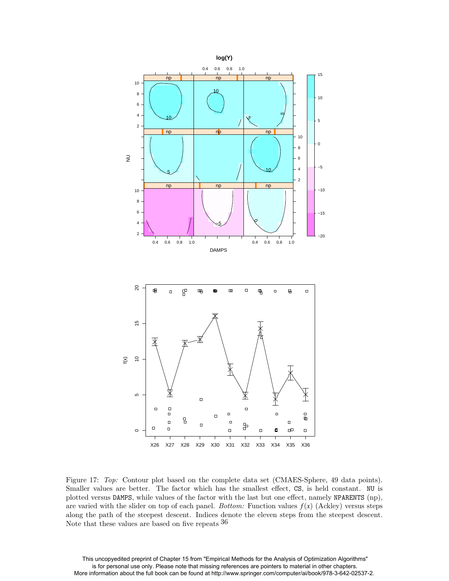

<span id="page-35-0"></span>Figure 17: Top: Contour plot based on the complete data set (CMAES-Sphere, 49 data points). Smaller values are better. The factor which has the smallest effect, CS, is held constant. NU is plotted versus DAMPS, while values of the factor with the last but one effect, namely NPARENTS (np), are varied with the slider on top of each panel. Bottom: Function values  $f(x)$  (Ackley) versus steps along the path of the steepest descent. Indices denote the eleven steps from the steepest descent. Note that these values are based on five repeats 36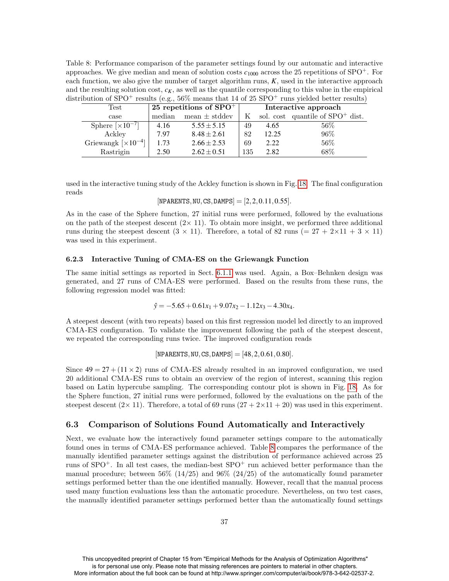<span id="page-36-0"></span>Table 8: Performance comparison of the parameter settings found by our automatic and interactive approaches. We give median and mean of solution costs  $c_{1000}$  across the 25 repetitions of SPO<sup>+</sup>. For each function, we also give the number of target algorithm runs,  $K$ , used in the interactive approach and the resulting solution cost,  $c_K$ , as well as the quantile corresponding to this value in the empirical distribution of SPO<sup>+</sup> results (e.g., 56% means that 14 of 25 SPO<sup>+</sup> runs yielded better results)

| Test                                     | 25 repetitions of $SPO^+$ |                   |     | Interactive approach |                                     |  |
|------------------------------------------|---------------------------|-------------------|-----|----------------------|-------------------------------------|--|
| case                                     | median                    | mean $\pm$ stddev | K   |                      | sol. cost quantile of $SPO^+$ dist. |  |
| Sphere $\left[\times 10^{-7}\right]$     | 4.16                      | $5.55 \pm 5.15$   | 49  | 4.65                 | 56%                                 |  |
| Ackley                                   | 7.97                      | $8.48 \pm 2.61$   | 82  | 12.25                | 96%                                 |  |
| Griewangk $\lceil \times 10^{-4} \rceil$ | 1.73                      | $2.66 \pm 2.53$   | 69  | 2.22                 | 56%                                 |  |
| Rastrigin                                | 2.50                      | $2.62 \pm 0.51$   | 135 | 2.82                 | 68%                                 |  |

used in the interactive tuning study of the Ackley function is shown in Fig. [18.](#page-37-0) The final configuration reads

### $[NPARENTS, NU, CS, DAMPS] = [2, 2, 0.11, 0.55].$

As in the case of the Sphere function, 27 initial runs were performed, followed by the evaluations on the path of the steepest descent  $(2 \times 11)$ . To obtain more insight, we performed three additional runs during the steepest descent  $(3 \times 11)$ . Therefore, a total of 82 runs  $(= 27 + 2 \times 11 + 3 \times 11)$ was used in this experiment.

### 6.2.3 Interactive Tuning of CMA-ES on the Griewangk Function

The same initial settings as reported in Sect. [6.1.1](#page-28-1) was used. Again, a Box–Behnken design was generated, and 27 runs of CMA-ES were performed. Based on the results from these runs, the following regression model was fitted:

$$
\hat{y} = -5.65 + 0.61x_1 + 9.07x_2 - 1.12x_3 - 4.30x_4.
$$

A steepest descent (with two repeats) based on this first regression model led directly to an improved CMA-ES configuration. To validate the improvement following the path of the steepest descent, we repeated the corresponding runs twice. The improved configuration reads

$$
[NPARENTS, NU, CS, DAMPS] = [48, 2, 0.61, 0.80].
$$

Since  $49 = 27 + (11 \times 2)$  runs of CMA-ES already resulted in an improved configuration, we used 20 additional CMA-ES runs to obtain an overview of the region of interest, scanning this region based on Latin hypercube sampling. The corresponding contour plot is shown in Fig. [18.](#page-37-0) As for the Sphere function, 27 initial runs were performed, followed by the evaluations on the path of the steepest descent  $(2 \times 11)$ . Therefore, a total of 69 runs  $(27 + 2 \times 11 + 20)$  was used in this experiment.

### 6.3 Comparison of Solutions Found Automatically and Interactively

Next, we evaluate how the interactively found parameter settings compare to the automatically found ones in terms of CMA-ES performance achieved. Table [8](#page-36-0) compares the performance of the manually identified parameter settings against the distribution of performance achieved across 25 runs of  $SPO^+$ . In all test cases, the median-best  $SPO^+$  run achieved better performance than the manual procedure; between  $56\%$  ( $14/25$ ) and  $96\%$  ( $24/25$ ) of the automatically found parameter settings performed better than the one identified manually. However, recall that the manual process used many function evaluations less than the automatic procedure. Nevertheless, on two test cases, the manually identified parameter settings performed better than the automatically found settings

This uncopyedited preprint of Chapter 15 from "Empirical Methods for the Analysis of Optimization Algorithms" is for personal use only. Please note that missing references are pointers to material in other chapters. More information about the full book can be found at http://www.springer.com/computer/ai/book/978-3-642-02537-2.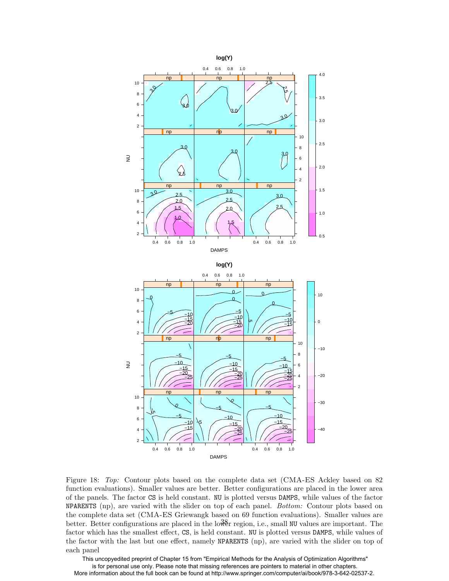

<span id="page-37-0"></span>Figure 18: Top: Contour plots based on the complete data set (CMA-ES Ackley based on 82 function evaluations). Smaller values are better. Better configurations are placed in the lower area of the panels. The factor CS is held constant. NU is plotted versus DAMPS, while values of the factor NPARENTS (np), are varied with the slider on top of each panel. Bottom: Contour plots based on the complete data set (CMA-ES Griewangk based on 69 function evaluations). Smaller values are better. Better configurations are placed in the lower region, i.e., small NU values are important. The factor which has the smallest effect, CS, is held constant. NU is plotted versus DAMPS, while values of the factor with the last but one effect, namely NPARENTS (np), are varied with the slider on top of each panel

 This uncopyedited preprint of Chapter 15 from "Empirical Methods for the Analysis of Optimization Algorithms" is for personal use only. Please note that missing references are pointers to material in other chapters. More information about the full book can be found at http://www.springer.com/computer/ai/book/978-3-642-02537-2.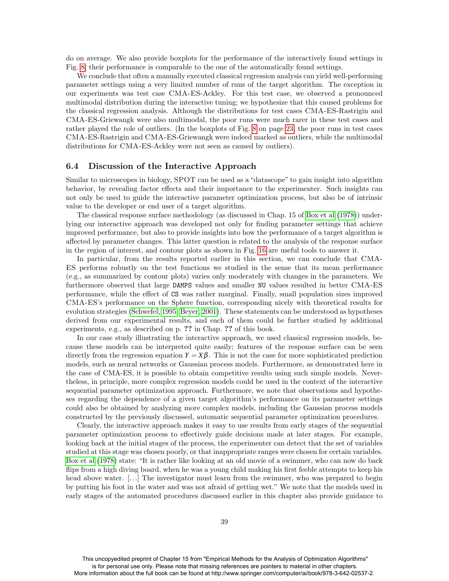do on average. We also provide boxplots for the performance of the interactively found settings in Fig. [8;](#page-22-0) their performance is comparable to the one of the automatically found settings.

We conclude that often a manually executed classical regression analysis can yield well-performing parameter settings using a very limited number of runs of the target algorithm. The exception in our experiments was test case CMA-ES-Ackley. For this test case, we observed a pronounced multimodal distribution during the interactive tuning; we hypothesize that this caused problems for the classical regression analysis. Although the distributions for test cases CMA-ES-Rastrigin and CMA-ES-Griewangk were also multimodal, the poor runs were much rarer in these test cases and rather played the role of outliers. (In the boxplots of Fig. [8](#page-22-0) on page [23,](#page-22-0) the poor runs in test cases CMA-ES-Rastrigin and CMA-ES-Griewangk were indeed marked as outliers, while the multimodal distributions for CMA-ES-Ackley were not seen as caused by outliers).

## 6.4 Discussion of the Interactive Approach

Similar to microscopes in biology, SPOT can be used as a "datascope" to gain insight into algorithm behavior, by revealing factor effects and their importance to the experimenter. Such insights can not only be used to guide the interactive parameter optimization process, but also be of intrinsic value to the developer or end user of a target algorithm.

The classical response surface methodology (as discussed in Chap. 15 of [Box et al](#page-41-12) [\(1978\)](#page-41-12)) underlying our interactive approach was developed not only for finding parameter settings that achieve improved performance, but also to provide insights into how the performance of a target algorithm is affected by parameter changes. This latter question is related to the analysis of the response surface in the region of interest, and contour plots as shown in Fig. [16](#page-33-0) are useful tools to answer it.

In particular, from the results reported earlier in this section, we can conclude that CMA-ES performs robustly on the test functions we studied in the sense that its mean performance (e.g., as summarized by contour plots) varies only moderately with changes in the parameters. We furthermore observed that large DAMPS values and smaller NU values resulted in better CMA-ES performance, while the effect of CS was rather marginal. Finally, small population sizes improved CMA-ES's performance on the Sphere function, corresponding nicely with theoretical results for evolution strategies [\(Schwefel, 1995;](#page-43-8) [Beyer, 2001\)](#page-41-16). These statements can be understood as hypotheses derived from our experimental results, and each of them could be further studied by additional experiments, e.g., as described on p. ?? in Chap. ?? of this book.

In our case study illustrating the interactive approach, we used classical regression models, because these models can be interpreted quite easily; features of the response surface can be seen directly from the regression equation  $Y = X\beta$ . This is not the case for more sophisticated prediction models, such as neural networks or Gaussian process models. Furthermore, as demonstrated here in the case of CMA-ES, it is possible to obtain competitive results using such simple models. Nevertheless, in principle, more complex regression models could be used in the context of the interactive sequential parameter optimization approach. Furthermore, we note that observations and hypotheses regarding the dependence of a given target algorithm's performance on its parameter settings could also be obtained by analyzing more complex models, including the Gaussian process models constructed by the previously discussed, automatic sequential parameter optimization procedures.

Clearly, the interactive approach makes it easy to use results from early stages of the sequential parameter optimization process to effectively guide decisions made at later stages. For example, looking back at the initial stages of the process, the experimenter can detect that the set of variables studied at this stage was chosen poorly, or that inappropriate ranges were chosen for certain variables. [Box et al](#page-41-12) [\(1978\)](#page-41-12) state: "It is rather like looking at an old movie of a swimmer, who can now do back flips from a high diving board, when he was a young child making his first feeble attempts to keep his head above water. [...] The investigator must learn from the swimmer, who was prepared to begin by putting his foot in the water and was not afraid of getting wet." We note that the models used in early stages of the automated procedures discussed earlier in this chapter also provide guidance to

This uncopyedited preprint of Chapter 15 from "Empirical Methods for the Analysis of Optimization Algorithms" is for personal use only. Please note that missing references are pointers to material in other chapters. More information about the full book can be found at http://www.springer.com/computer/ai/book/978-3-642-02537-2.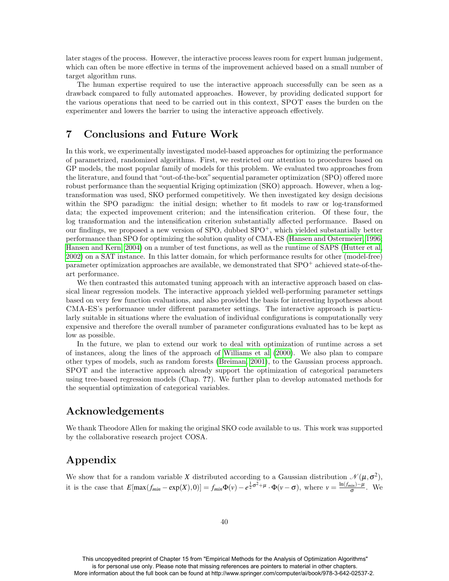later stages of the process. However, the interactive process leaves room for expert human judgement, which can often be more effective in terms of the improvement achieved based on a small number of target algorithm runs.

The human expertise required to use the interactive approach successfully can be seen as a drawback compared to fully automated approaches. However, by providing dedicated support for the various operations that need to be carried out in this context, SPOT eases the burden on the experimenter and lowers the barrier to using the interactive approach effectively.

## <span id="page-39-0"></span>7 Conclusions and Future Work

In this work, we experimentally investigated model-based approaches for optimizing the performance of parametrized, randomized algorithms. First, we restricted our attention to procedures based on GP models, the most popular family of models for this problem. We evaluated two approaches from the literature, and found that "out-of-the-box" sequential parameter optimization (SPO) offered more robust performance than the sequential Kriging optimization (SKO) approach. However, when a logtransformation was used, SKO performed competitively. We then investigated key design decisions within the SPO paradigm: the initial design; whether to fit models to raw or log-transformed data; the expected improvement criterion; and the intensification criterion. Of these four, the log transformation and the intensification criterion substantially affected performance. Based on our findings, we proposed a new version of SPO, dubbed  $SPO^{+}$ , which yielded substantially better performance than SPO for optimizing the solution quality of CMA-ES [\(Hansen and Ostermeier, 1996;](#page-42-7) [Hansen and Kern, 2004\)](#page-41-7) on a number of test functions, as well as the runtime of SAPS [\(Hutter et al,](#page-42-8) [2002\)](#page-42-8) on a SAT instance. In this latter domain, for which performance results for other (model-free) parameter optimization approaches are available, we demonstrated that  $SPO<sup>+</sup>$  achieved state-of-theart performance.

We then contrasted this automated tuning approach with an interactive approach based on classical linear regression models. The interactive approach yielded well-performing parameter settings based on very few function evaluations, and also provided the basis for interesting hypotheses about CMA-ES's performance under different parameter settings. The interactive approach is particularly suitable in situations where the evaluation of individual configurations is computationally very expensive and therefore the overall number of parameter configurations evaluated has to be kept as low as possible.

In the future, we plan to extend our work to deal with optimization of runtime across a set of instances, along the lines of the approach of [Williams et al](#page-43-1) [\(2000\)](#page-43-1). We also plan to compare other types of models, such as random forests [\(Breiman, 2001\)](#page-41-17), to the Gaussian process approach. SPOT and the interactive approach already support the optimization of categorical parameters using tree-based regression models (Chap. ??). We further plan to develop automated methods for the sequential optimization of categorical variables.

## Acknowledgements

We thank Theodore Allen for making the original SKO code available to us. This work was supported by the collaborative research project COSA.

## Appendix

We show that for a random variable *X* distributed according to a Gaussian distribution  $\mathcal{N}(\mu, \sigma^2)$ , it is the case that  $E[\max(f_{min} - \exp(X), 0)] = f_{min}\Phi(v) - e^{\frac{1}{2}\sigma^2 + \mu} \cdot \Phi(v - \sigma)$ , where  $v = \frac{\ln(f_{min}) - \mu}{\sigma}$  $\frac{\sin \theta - \mu}{\sigma}$ . We

This uncopyedited preprint of Chapter 15 from "Empirical Methods for the Analysis of Optimization Algorithms" is for personal use only. Please note that missing references are pointers to material in other chapters. More information about the full book can be found at http://www.springer.com/computer/ai/book/978-3-642-02537-2.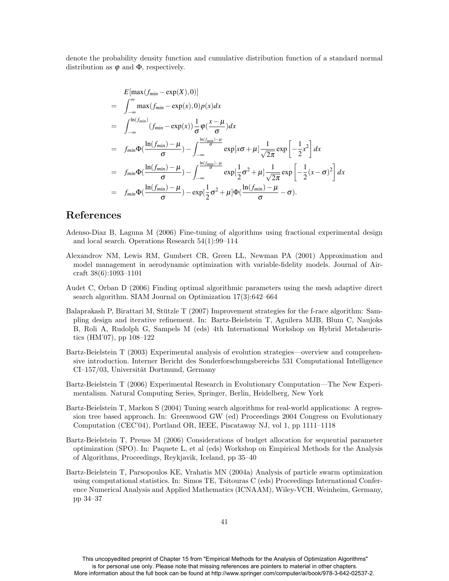denote the probability density function and cumulative distribution function of a standard normal distribution as  $\varphi$  and  $\Phi$ , respectively.

$$
E[\max(f_{min} - \exp(X), 0)]
$$
\n
$$
= \int_{-\infty}^{\infty} \max(f_{min} - \exp(x), 0) p(x) dx
$$
\n
$$
= \int_{-\infty}^{\ln(f_{min})} (f_{min} - \exp(x)) \frac{1}{\sigma} \varphi(\frac{x - \mu}{\sigma}) dx
$$
\n
$$
= f_{min} \Phi(\frac{\ln(f_{min}) - \mu}{\sigma}) - \int_{-\infty}^{\frac{\ln(f_{min}) - \mu}{\sigma}} \exp[x\sigma + \mu] \frac{1}{\sqrt{2\pi}} \exp\left[-\frac{1}{2}x^2\right] dx
$$
\n
$$
= f_{min} \Phi(\frac{\ln(f_{min}) - \mu}{\sigma}) - \int_{-\infty}^{\frac{\ln(f_{min}) - \mu}{\sigma}} \exp\left[\frac{1}{2}\sigma^2 + \mu\right] \frac{1}{\sqrt{2\pi}} \exp\left[-\frac{1}{2}(x - \sigma)^2\right] dx
$$
\n
$$
= f_{min} \Phi(\frac{\ln(f_{min}) - \mu}{\sigma}) - \exp\left[\frac{1}{2}\sigma^2 + \mu\right] \Phi(\frac{\ln(f_{min}) - \mu}{\sigma} - \sigma).
$$

## References

- <span id="page-40-1"></span>Adenso-Diaz B, Laguna M (2006) Fine-tuning of algorithms using fractional experimental design and local search. Operations Research 54(1):99–114
- <span id="page-40-8"></span>Alexandrov NM, Lewis RM, Gumbert CR, Green LL, Newman PA (2001) Approximation and model management in aerodynamic optimization with variable-fidelity models. Journal of Aircraft 38(6):1093–1101
- <span id="page-40-0"></span>Audet C, Orban D (2006) Finding optimal algorithmic parameters using the mesh adaptive direct search algorithm. SIAM Journal on Optimization 17(3):642–664
- <span id="page-40-3"></span>Balaprakash P, Birattari M, Stützle T  $(2007)$  Improvement strategies for the f-race algorithm: Sampling design and iterative refinement. In: Bartz-Beielstein T, Aguilera MJB, Blum C, Naujoks B, Roli A, Rudolph G, Sampels M (eds) 4th International Workshop on Hybrid Metaheuristics (HM'07), pp 108–122
- <span id="page-40-7"></span>Bartz-Beielstein T (2003) Experimental analysis of evolution strategies—overview and comprehensive introduction. Interner Bericht des Sonderforschungsbereichs 531 Computational Intelligence CI–157/03, Universität Dortmund, Germany
- <span id="page-40-5"></span>Bartz-Beielstein T (2006) Experimental Research in Evolutionary Computation—The New Experimentalism. Natural Computing Series, Springer, Berlin, Heidelberg, New York
- <span id="page-40-2"></span>Bartz-Beielstein T, Markon S (2004) Tuning search algorithms for real-world applications: A regression tree based approach. In: Greenwood GW (ed) Proceedings 2004 Congress on Evolutionary Computation (CEC'04), Portland OR, IEEE, Piscataway NJ, vol 1, pp 1111–1118
- <span id="page-40-6"></span>Bartz-Beielstein T, Preuss M (2006) Considerations of budget allocation for sequential parameter optimization (SPO). In: Paquete L, et al (eds) Workshop on Empirical Methods for the Analysis of Algorithms, Proceedings, Reykjavik, Iceland, pp 35–40
- <span id="page-40-4"></span>Bartz-Beielstein T, Parsopoulos KE, Vrahatis MN (2004a) Analysis of particle swarm optimization using computational statistics. In: Simos TE, Tsitouras C (eds) Proceedings International Conference Numerical Analysis and Applied Mathematics (ICNAAM), Wiley-VCH, Weinheim, Germany, pp 34–37

This uncopyedited preprint of Chapter 15 from "Empirical Methods for the Analysis of Optimization Algorithms" is for personal use only. Please note that missing references are pointers to material in other chapters. More information about the full book can be found at http://www.springer.com/computer/ai/book/978-3-642-02537-2.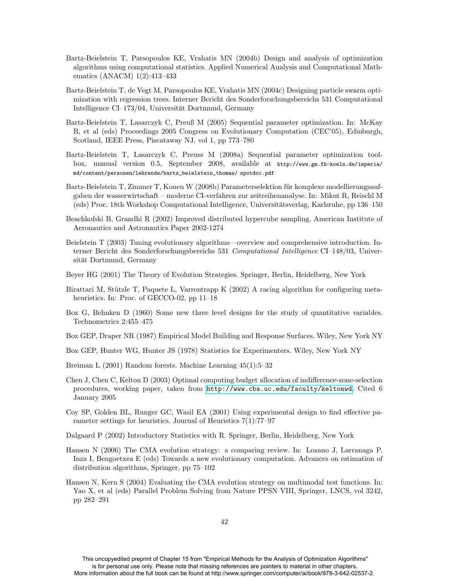- <span id="page-41-5"></span>Bartz-Beielstein T, Parsopoulos KE, Vrahatis MN (2004b) Design and analysis of optimization algorithms using computational statistics. Applied Numerical Analysis and Computational Mathematics (ANACM) 1(2):413–433
- <span id="page-41-4"></span>Bartz-Beielstein T, de Vegt M, Parsopoulos KE, Vrahatis MN (2004c) Designing particle swarm optimization with regression trees. Interner Bericht des Sonderforschungsbereichs 531 Computational Intelligence CI–173/04, Universität Dortmund, Germany
- <span id="page-41-0"></span>Bartz-Beielstein T, Lasarczyk C, Preuß M (2005) Sequential parameter optimization. In: McKay B, et al (eds) Proceedings 2005 Congress on Evolutionary Computation (CEC'05), Edinburgh, Scotland, IEEE Press, Piscataway NJ, vol 1, pp 773–780
- <span id="page-41-8"></span>Bartz-Beielstein T, Lasarczyk C, Preuss M (2008a) Sequential parameter optimization toolbox, manual version 0.5, September 2008, available at http://www.gm.fh-koeln.de/imperia/ md/content/personen/lehrende/bartz\_beielstein\_thomas/ spotdoc.pdf
- <span id="page-41-6"></span>Bartz-Beielstein T, Zimmer T, Konen W (2008b) Parameterselektion für komplexe modellierungsaufgaben der wasserwirtschaft – moderne CI-verfahren zur zeitreihenanalyse. In: Mikut R, Reischl M (eds) Proc. 18th Workshop Computational Intelligence, Universitätsverlag, Karlsruhe, pp 136–150
- <span id="page-41-10"></span>Beachkofski B, Grandhi R (2002) Improved distributed hypercube sampling. American Institute of Aeronautics and Astronautics Paper 2002-1274
- <span id="page-41-3"></span>Beielstein T (2003) Tuning evolutionary algorithms—overview and comprehensive introduction. Interner Bericht des Sonderforschungsbereichs 531 Computational Intelligence CI–148/03, Universität Dortmund, Germany
- <span id="page-41-16"></span>Beyer HG (2001) The Theory of Evolution Strategies. Springer, Berlin, Heidelberg, New York
- <span id="page-41-2"></span>Birattari M, Stützle T, Paquete L, Varrentrapp K (2002) A racing algorithm for configuring metaheuristics. In: Proc. of GECCO-02, pp 11–18
- <span id="page-41-13"></span>Box G, Behnken D (1960) Some new three level designs for the study of quantitative variables. Technometrics 2:455–475
- <span id="page-41-14"></span>Box GEP, Draper NR (1987) Empirical Model Building and Response Surfaces. Wiley, New York NY
- <span id="page-41-12"></span>Box GEP, Hunter WG, Hunter JS (1978) Statistics for Experimenters. Wiley, New York NY
- <span id="page-41-17"></span>Breiman L (2001) Random forests. Machine Learning 45(1):5–32
- <span id="page-41-11"></span>Chen J, Chen C, Kelton D (2003) Optimal computing budget allocation of indifference-zone-selection procedures, working paper, taken from <http://www.cba.uc.edu/faculty/keltonwd>. Cited 6 January 2005
- <span id="page-41-1"></span>Coy SP, Golden BL, Runger GC, Wasil EA (2001) Using experimental design to find effective parameter settings for heuristics. Journal of Heuristics 7(1):77–97

<span id="page-41-15"></span>Dalgaard P (2002) Introductory Statistics with R. Springer, Berlin, Heidelberg, New York

- <span id="page-41-9"></span>Hansen N (2006) The CMA evolution strategy: a comparing review. In: Lozano J, Larranaga P, Inza I, Bengoetxea E (eds) Towards a new evolutionary computation. Advances on estimation of distribution algorithms, Springer, pp 75–102
- <span id="page-41-7"></span>Hansen N, Kern S (2004) Evaluating the CMA evolution strategy on multimodal test functions. In: Yao X, et al (eds) Parallel Problem Solving from Nature PPSN VIII, Springer, LNCS, vol 3242, pp 282–291

This uncopyedited preprint of Chapter 15 from "Empirical Methods for the Analysis of Optimization Algorithms" is for personal use only. Please note that missing references are pointers to material in other chapters. More information about the full book can be found at http://www.springer.com/computer/ai/book/978-3-642-02537-2.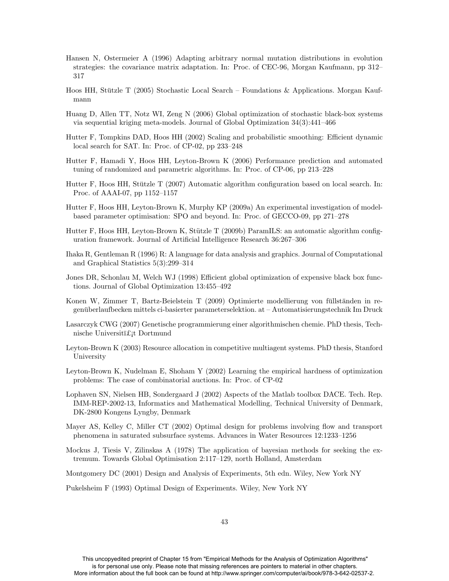- <span id="page-42-7"></span>Hansen N, Ostermeier A (1996) Adapting arbitrary normal mutation distributions in evolution strategies: the covariance matrix adaptation. In: Proc. of CEC-96, Morgan Kaufmann, pp 312– 317
- <span id="page-42-11"></span>Hoos HH, Stützle T (2005) Stochastic Local Search – Foundations & Applications. Morgan Kaufmann
- <span id="page-42-0"></span>Huang D, Allen TT, Notz WI, Zeng N (2006) Global optimization of stochastic black-box systems via sequential kriging meta-models. Journal of Global Optimization 34(3):441–466
- <span id="page-42-8"></span>Hutter F, Tompkins DAD, Hoos HH (2002) Scaling and probabilistic smoothing: Efficient dynamic local search for SAT. In: Proc. of CP-02, pp 233–248
- <span id="page-42-3"></span>Hutter F, Hamadi Y, Hoos HH, Leyton-Brown K (2006) Performance prediction and automated tuning of randomized and parametric algorithms. In: Proc. of CP-06, pp 213–228
- <span id="page-42-1"></span>Hutter F, Hoos HH, Stützle T (2007) Automatic algorithm configuration based on local search. In: Proc. of AAAI-07, pp 1152–1157
- <span id="page-42-5"></span>Hutter F, Hoos HH, Leyton-Brown K, Murphy KP (2009a) An experimental investigation of modelbased parameter optimisation: SPO and beyond. In: Proc. of GECCO-09, pp 271–278
- <span id="page-42-2"></span>Hutter F, Hoos HH, Leyton-Brown K, Stützle T (2009b) ParamILS: an automatic algorithm configuration framework. Journal of Artificial Intelligence Research 36:267–306
- <span id="page-42-16"></span>Ihaka R, Gentleman R (1996) R: A language for data analysis and graphics. Journal of Computational and Graphical Statistics 5(3):299–314
- <span id="page-42-4"></span>Jones DR, Schonlau M, Welch WJ (1998) Efficient global optimization of expensive black box functions. Journal of Global Optimization 13:455–492
- <span id="page-42-13"></span>Konen W, Zimmer T, Bartz-Beielstein T (2009) Optimierte modellierung von füllständen in regenüberlaufbecken mittels ci-basierter parameterselektion. at – Automatisierungstechnik Im Druck
- <span id="page-42-15"></span>Lasarczyk CWG (2007) Genetische programmierung einer algorithmischen chemie. PhD thesis, Technische Universiti $\pounds$ <sub>i</sub>t Dortmund
- <span id="page-42-14"></span>Leyton-Brown K (2003) Resource allocation in competitive multiagent systems. PhD thesis, Stanford University
- <span id="page-42-12"></span>Leyton-Brown K, Nudelman E, Shoham Y (2002) Learning the empirical hardness of optimization problems: The case of combinatorial auctions. In: Proc. of CP-02
- <span id="page-42-10"></span>Lophaven SN, Nielsen HB, Sondergaard J (2002) Aspects of the Matlab toolbox DACE. Tech. Rep. IMM-REP-2002-13, Informatics and Mathematical Modelling, Technical University of Denmark, DK-2800 Kongens Lyngby, Denmark
- <span id="page-42-17"></span>Mayer AS, Kelley C, Miller CT (2002) Optimal design for problems involving flow and transport phenomena in saturated subsurface systems. Advances in Water Resources 12:1233–1256
- <span id="page-42-6"></span>Mockus J, Tiesis V, Zilinskas A (1978) The application of bayesian methods for seeking the extremum. Towards Global Optimisation 2:117–129, north Holland, Amsterdam
- <span id="page-42-9"></span>Montgomery DC (2001) Design and Analysis of Experiments, 5th edn. Wiley, New York NY

<span id="page-42-18"></span>Pukelsheim F (1993) Optimal Design of Experiments. Wiley, New York NY

This uncopyedited preprint of Chapter 15 from "Empirical Methods for the Analysis of Optimization Algorithms" is for personal use only. Please note that missing references are pointers to material in other chapters. More information about the full book can be found at http://www.springer.com/computer/ai/book/978-3-642-02537-2.